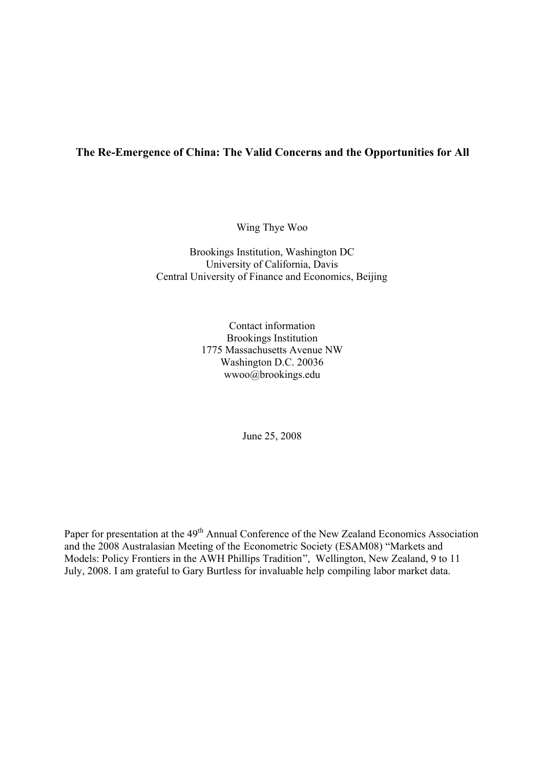# **The Re-Emergence of China: The Valid Concerns and the Opportunities for All**

Wing Thye Woo

Brookings Institution, Washington DC University of California, Davis Central University of Finance and Economics, Beijing

> Contact information Brookings Institution 1775 Massachusetts Avenue NW Washington D.C. 20036 wwoo@brookings.edu

> > June 25, 2008

Paper for presentation at the 49<sup>th</sup> Annual Conference of the New Zealand Economics Association and the 2008 Australasian Meeting of the Econometric Society (ESAM08) "Markets and Models: Policy Frontiers in the AWH Phillips Tradition", Wellington, New Zealand, 9 to 11 July, 2008. I am grateful to Gary Burtless for invaluable help compiling labor market data.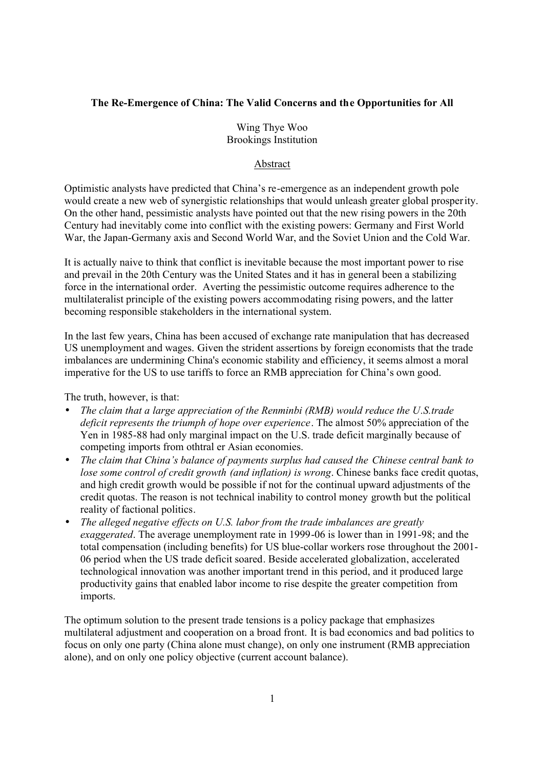# **The Re-Emergence of China: The Valid Concerns and the Opportunities for All**

Wing Thye Woo Brookings Institution

# Abstract

Optimistic analysts have predicted that China's re-emergence as an independent growth pole would create a new web of synergistic relationships that would unleash greater global prosperity. On the other hand, pessimistic analysts have pointed out that the new rising powers in the 20th Century had inevitably come into conflict with the existing powers: Germany and First World War, the Japan-Germany axis and Second World War, and the Soviet Union and the Cold War.

It is actually naive to think that conflict is inevitable because the most important power to rise and prevail in the 20th Century was the United States and it has in general been a stabilizing force in the international order. Averting the pessimistic outcome requires adherence to the multilateralist principle of the existing powers accommodating rising powers, and the latter becoming responsible stakeholders in the international system.

In the last few years, China has been accused of exchange rate manipulation that has decreased US unemployment and wages. Given the strident assertions by foreign economists that the trade imbalances are undermining China's economic stability and efficiency, it seems almost a moral imperative for the US to use tariffs to force an RMB appreciation for China's own good.

The truth, however, is that:

- *The claim that a large appreciation of the Renminbi (RMB) would reduce the U.S.trade deficit represents the triumph of hope over experience*. The almost 50% appreciation of the Yen in 1985-88 had only marginal impact on the U.S. trade deficit marginally because of competing imports from othtral er Asian economies.
- *The claim that China's balance of payments surplus had caused the Chinese central bank to lose some control of credit growth (and inflation) is wrong*. Chinese banks face credit quotas, and high credit growth would be possible if not for the continual upward adjustments of the credit quotas. The reason is not technical inability to control money growth but the political reality of factional politics.
- *The alleged negative effects on U.S. labor from the trade imbalances are greatly exaggerated*. The average unemployment rate in 1999-06 is lower than in 1991-98; and the total compensation (including benefits) for US blue-collar workers rose throughout the 2001- 06 period when the US trade deficit soared. Beside accelerated globalization, accelerated technological innovation was another important trend in this period, and it produced large productivity gains that enabled labor income to rise despite the greater competition from imports.

The optimum solution to the present trade tensions is a policy package that emphasizes multilateral adjustment and cooperation on a broad front. It is bad economics and bad politics to focus on only one party (China alone must change), on only one instrument (RMB appreciation alone), and on only one policy objective (current account balance).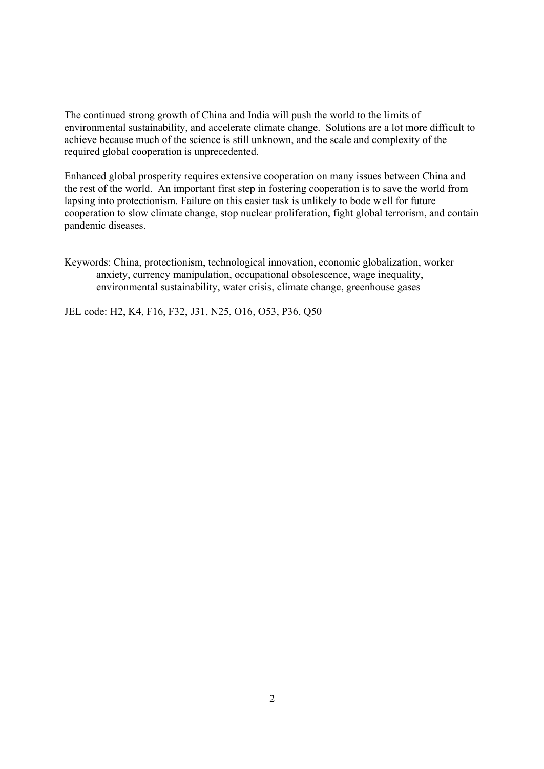The continued strong growth of China and India will push the world to the limits of environmental sustainability, and accelerate climate change. Solutions are a lot more difficult to achieve because much of the science is still unknown, and the scale and complexity of the required global cooperation is unprecedented.

Enhanced global prosperity requires extensive cooperation on many issues between China and the rest of the world. An important first step in fostering cooperation is to save the world from lapsing into protectionism. Failure on this easier task is unlikely to bode well for future cooperation to slow climate change, stop nuclear proliferation, fight global terrorism, and contain pandemic diseases.

Keywords: China, protectionism, technological innovation, economic globalization, worker anxiety, currency manipulation, occupational obsolescence, wage inequality, environmental sustainability, water crisis, climate change, greenhouse gases

JEL code: H2, K4, F16, F32, J31, N25, O16, O53, P36, Q50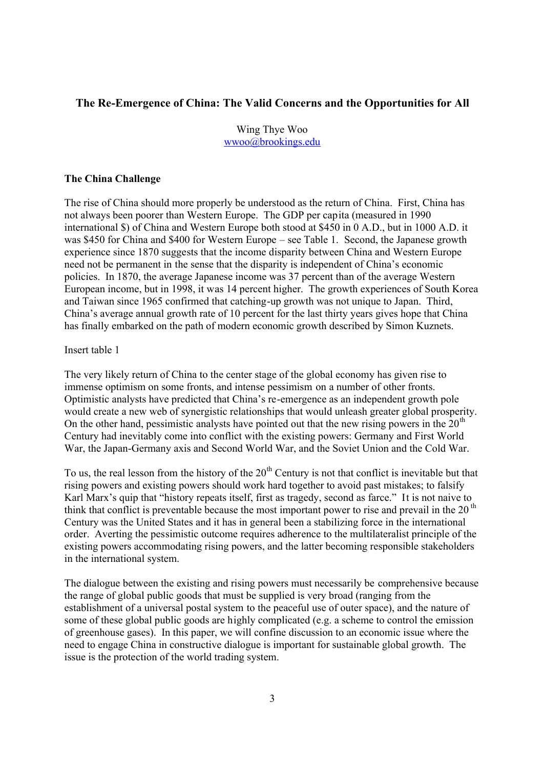# **The Re-Emergence of China: The Valid Concerns and the Opportunities for All**

Wing Thye Woo wwoo@brookings.edu

# **The China Challenge**

The rise of China should more properly be understood as the return of China. First, China has not always been poorer than Western Europe. The GDP per capita (measured in 1990 international \$) of China and Western Europe both stood at \$450 in 0 A.D., but in 1000 A.D. it was \$450 for China and \$400 for Western Europe – see Table 1. Second, the Japanese growth experience since 1870 suggests that the income disparity between China and Western Europe need not be permanent in the sense that the disparity is independent of China's economic policies. In 1870, the average Japanese income was 37 percent than of the average Western European income, but in 1998, it was 14 percent higher. The growth experiences of South Korea and Taiwan since 1965 confirmed that catching-up growth was not unique to Japan. Third, China's average annual growth rate of 10 percent for the last thirty years gives hope that China has finally embarked on the path of modern economic growth described by Simon Kuznets.

# Insert table 1

The very likely return of China to the center stage of the global economy has given rise to immense optimism on some fronts, and intense pessimism on a number of other fronts. Optimistic analysts have predicted that China's re-emergence as an independent growth pole would create a new web of synergistic relationships that would unleash greater global prosperity. On the other hand, pessimistic analysts have pointed out that the new rising powers in the  $20<sup>th</sup>$ Century had inevitably come into conflict with the existing powers: Germany and First World War, the Japan-Germany axis and Second World War, and the Soviet Union and the Cold War.

To us, the real lesson from the history of the  $20<sup>th</sup>$  Century is not that conflict is inevitable but that rising powers and existing powers should work hard together to avoid past mistakes; to falsify Karl Marx's quip that "history repeats itself, first as tragedy, second as farce." It is not naive to think that conflict is preventable because the most important power to rise and prevail in the 20<sup>th</sup> Century was the United States and it has in general been a stabilizing force in the international order. Averting the pessimistic outcome requires adherence to the multilateralist principle of the existing powers accommodating rising powers, and the latter becoming responsible stakeholders in the international system.

The dialogue between the existing and rising powers must necessarily be comprehensive because the range of global public goods that must be supplied is very broad (ranging from the establishment of a universal postal system to the peaceful use of outer space), and the nature of some of these global public goods are highly complicated (e.g. a scheme to control the emission of greenhouse gases). In this paper, we will confine discussion to an economic issue where the need to engage China in constructive dialogue is important for sustainable global growth. The issue is the protection of the world trading system.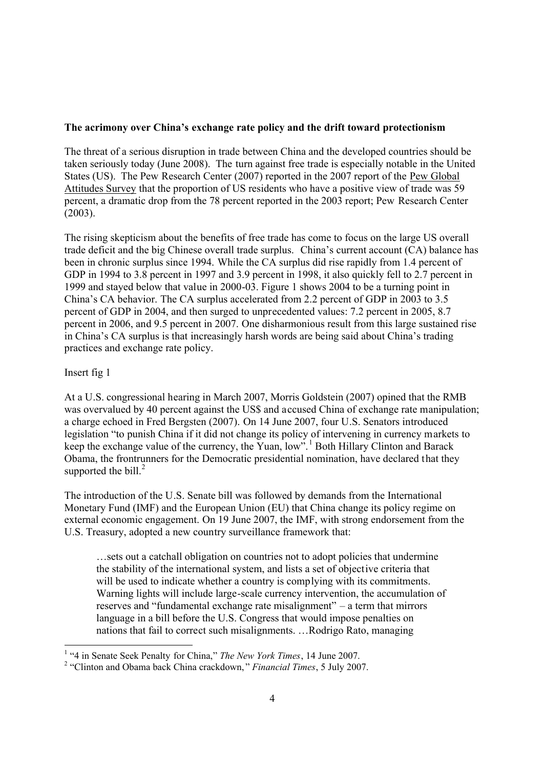# **The acrimony over China's exchange rate policy and the drift toward protectionism**

The threat of a serious disruption in trade between China and the developed countries should be taken seriously today (June 2008). The turn against free trade is especially notable in the United States (US). The Pew Research Center (2007) reported in the 2007 report of the Pew Global Attitudes Survey that the proportion of US residents who have a positive view of trade was 59 percent, a dramatic drop from the 78 percent reported in the 2003 report; Pew Research Center (2003).

The rising skepticism about the benefits of free trade has come to focus on the large US overall trade deficit and the big Chinese overall trade surplus. China's current account (CA) balance has been in chronic surplus since 1994. While the CA surplus did rise rapidly from 1.4 percent of GDP in 1994 to 3.8 percent in 1997 and 3.9 percent in 1998, it also quickly fell to 2.7 percent in 1999 and stayed below that value in 2000-03. Figure 1 shows 2004 to be a turning point in China's CA behavior. The CA surplus accelerated from 2.2 percent of GDP in 2003 to 3.5 percent of GDP in 2004, and then surged to unprecedented values: 7.2 percent in 2005, 8.7 percent in 2006, and 9.5 percent in 2007. One disharmonious result from this large sustained rise in China's CA surplus is that increasingly harsh words are being said about China's trading practices and exchange rate policy.

# Insert fig 1

At a U.S. congressional hearing in March 2007, Morris Goldstein (2007) opined that the RMB was overvalued by 40 percent against the US\$ and accused China of exchange rate manipulation; a charge echoed in Fred Bergsten (2007). On 14 June 2007, four U.S. Senators introduced legislation "to punish China if it did not change its policy of intervening in currency markets to keep the exchange value of the currency, the Yuan, low".<sup>1</sup> Both Hillary Clinton and Barack Obama, the frontrunners for the Democratic presidential nomination, have declared that they supported the bill. $^{2}$ 

The introduction of the U.S. Senate bill was followed by demands from the International Monetary Fund (IMF) and the European Union (EU) that China change its policy regime on external economic engagement. On 19 June 2007, the IMF, with strong endorsement from the U.S. Treasury, adopted a new country surveillance framework that:

…sets out a catchall obligation on countries not to adopt policies that undermine the stability of the international system, and lists a set of objective criteria that will be used to indicate whether a country is complying with its commitments. Warning lights will include large-scale currency intervention, the accumulation of reserves and "fundamental exchange rate misalignment" – a term that mirrors language in a bill before the U.S. Congress that would impose penalties on nations that fail to correct such misalignments. …Rodrigo Rato, managing

 1 "4 in Senate Seek Penalty for China," *The New York Times*, 14 June 2007.

<sup>&</sup>lt;sup>2</sup> "Clinton and Obama back China crackdown," *Financial Times*, 5 July 2007.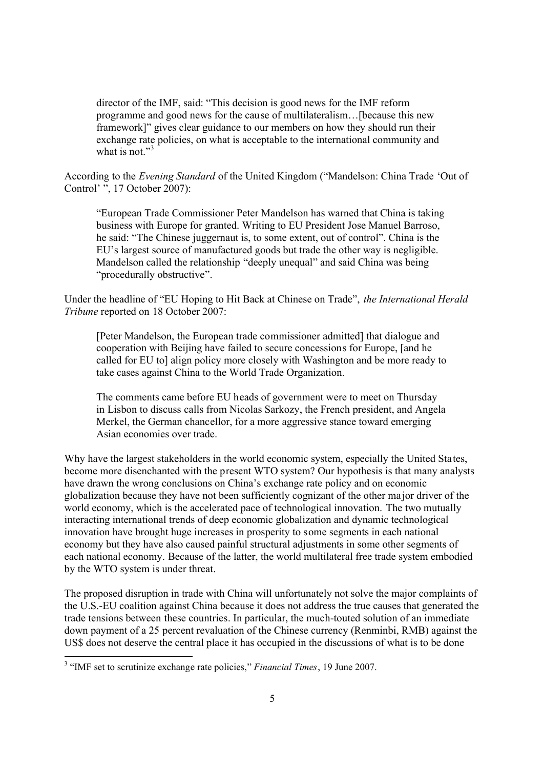director of the IMF, said: "This decision is good news for the IMF reform programme and good news for the cause of multilateralism…[because this new framework]" gives clear guidance to our members on how they should run their exchange rate policies, on what is acceptable to the international community and what is not." $3$ 

According to the *Evening Standard* of the United Kingdom ("Mandelson: China Trade 'Out of Control' ", 17 October 2007):

"European Trade Commissioner Peter Mandelson has warned that China is taking business with Europe for granted. Writing to EU President Jose Manuel Barroso, he said: "The Chinese juggernaut is, to some extent, out of control". China is the EU's largest source of manufactured goods but trade the other way is negligible. Mandelson called the relationship "deeply unequal" and said China was being "procedurally obstructive".

Under the headline of "EU Hoping to Hit Back at Chinese on Trade", *the International Herald Tribune* reported on 18 October 2007:

[Peter Mandelson, the European trade commissioner admitted] that dialogue and cooperation with Beijing have failed to secure concessions for Europe, [and he called for EU to] align policy more closely with Washington and be more ready to take cases against China to the World Trade Organization.

The comments came before EU heads of government were to meet on Thursday in Lisbon to discuss calls from Nicolas Sarkozy, the French president, and Angela Merkel, the German chancellor, for a more aggressive stance toward emerging Asian economies over trade.

Why have the largest stakeholders in the world economic system, especially the United States, become more disenchanted with the present WTO system? Our hypothesis is that many analysts have drawn the wrong conclusions on China's exchange rate policy and on economic globalization because they have not been sufficiently cognizant of the other major driver of the world economy, which is the accelerated pace of technological innovation. The two mutually interacting international trends of deep economic globalization and dynamic technological innovation have brought huge increases in prosperity to some segments in each national economy but they have also caused painful structural adjustments in some other segments of each national economy. Because of the latter, the world multilateral free trade system embodied by the WTO system is under threat.

The proposed disruption in trade with China will unfortunately not solve the major complaints of the U.S.-EU coalition against China because it does not address the true causes that generated the trade tensions between these countries. In particular, the much-touted solution of an immediate down payment of a 25 percent revaluation of the Chinese currency (Renminbi, RMB) against the US\$ does not deserve the central place it has occupied in the discussions of what is to be done

<sup>&</sup>lt;sup>3</sup> "IMF set to scrutinize exchange rate policies," *Financial Times*, 19 June 2007.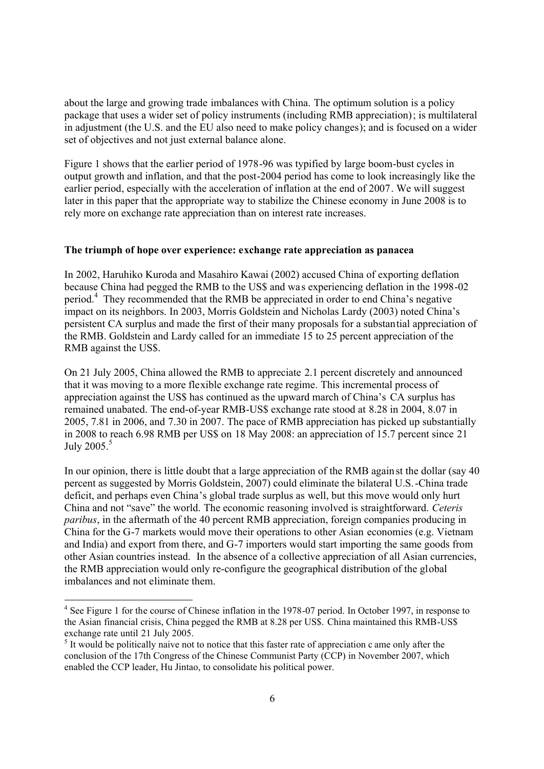about the large and growing trade imbalances with China. The optimum solution is a policy package that uses a wider set of policy instruments (including RMB appreciation); is multilateral in adjustment (the U.S. and the EU also need to make policy changes); and is focused on a wider set of objectives and not just external balance alone.

Figure 1 shows that the earlier period of 1978-96 was typified by large boom-bust cycles in output growth and inflation, and that the post-2004 period has come to look increasingly like the earlier period, especially with the acceleration of inflation at the end of 2007. We will suggest later in this paper that the appropriate way to stabilize the Chinese economy in June 2008 is to rely more on exchange rate appreciation than on interest rate increases.

# **The triumph of hope over experience: exchange rate appreciation as panacea**

In 2002, Haruhiko Kuroda and Masahiro Kawai (2002) accused China of exporting deflation because China had pegged the RMB to the US\$ and was experiencing deflation in the 1998-02 period.<sup>4</sup> They recommended that the RMB be appreciated in order to end China's negative impact on its neighbors. In 2003, Morris Goldstein and Nicholas Lardy (2003) noted China's persistent CA surplus and made the first of their many proposals for a substantial appreciation of the RMB. Goldstein and Lardy called for an immediate 15 to 25 percent appreciation of the RMB against the US\$.

On 21 July 2005, China allowed the RMB to appreciate 2.1 percent discretely and announced that it was moving to a more flexible exchange rate regime. This incremental process of appreciation against the US\$ has continued as the upward march of China's CA surplus has remained unabated. The end-of-year RMB-US\$ exchange rate stood at 8.28 in 2004, 8.07 in 2005, 7.81 in 2006, and 7.30 in 2007. The pace of RMB appreciation has picked up substantially in 2008 to reach 6.98 RMB per US\$ on 18 May 2008: an appreciation of 15.7 percent since 21 July  $2005.<sup>5</sup>$ 

In our opinion, there is little doubt that a large appreciation of the RMB again st the dollar (say 40 percent as suggested by Morris Goldstein, 2007) could eliminate the bilateral U.S.-China trade deficit, and perhaps even China's global trade surplus as well, but this move would only hurt China and not "save" the world. The economic reasoning involved is straightforward. *Ceteris paribus*, in the aftermath of the 40 percent RMB appreciation, foreign companies producing in China for the G-7 markets would move their operations to other Asian economies (e.g. Vietnam and India) and export from there, and G-7 importers would start importing the same goods from other Asian countries instead. In the absence of a collective appreciation of all Asian currencies, the RMB appreciation would only re-configure the geographical distribution of the global imbalances and not eliminate them.

<sup>&</sup>lt;sup>4</sup> See Figure 1 for the course of Chinese inflation in the 1978-07 period. In October 1997, in response to the Asian financial crisis, China pegged the RMB at 8.28 per US\$. China maintained this RMB-US\$ exchange rate until 21 July 2005.

 $<sup>5</sup>$  It would be politically naive not to notice that this faster rate of appreciation c ame only after the</sup> conclusion of the 17th Congress of the Chinese Communist Party (CCP) in November 2007, which enabled the CCP leader, Hu Jintao, to consolidate his political power.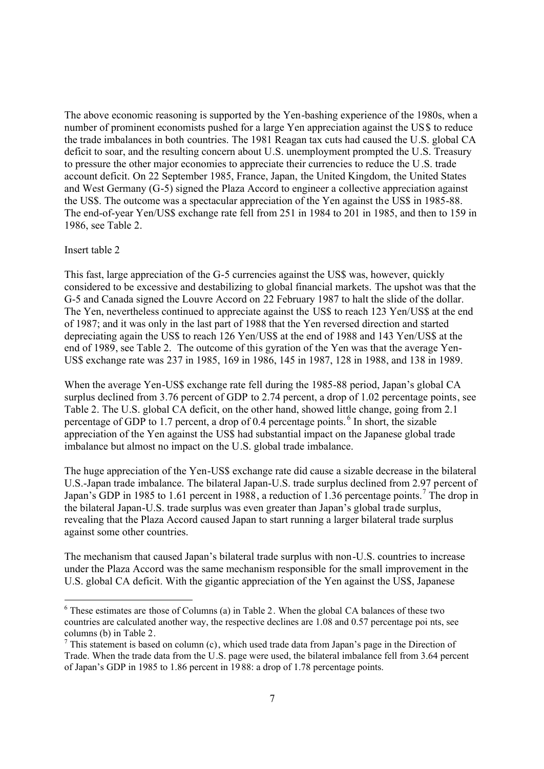The above economic reasoning is supported by the Yen-bashing experience of the 1980s, when a number of prominent economists pushed for a large Yen appreciation against the US\$ to reduce the trade imbalances in both countries. The 1981 Reagan tax cuts had caused the U.S. global CA deficit to soar, and the resulting concern about U.S. unemployment prompted the U.S. Treasury to pressure the other major economies to appreciate their currencies to reduce the U.S. trade account deficit. On 22 September 1985, France, Japan, the United Kingdom, the United States and West Germany (G-5) signed the Plaza Accord to engineer a collective appreciation against the US\$. The outcome was a spectacular appreciation of the Yen against the US\$ in 1985-88. The end-of-year Yen/US\$ exchange rate fell from 251 in 1984 to 201 in 1985, and then to 159 in 1986, see Table 2.

#### Insert table 2

This fast, large appreciation of the G-5 currencies against the US\$ was, however, quickly considered to be excessive and destabilizing to global financial markets. The upshot was that the G-5 and Canada signed the Louvre Accord on 22 February 1987 to halt the slide of the dollar. The Yen, nevertheless continued to appreciate against the US\$ to reach 123 Yen/US\$ at the end of 1987; and it was only in the last part of 1988 that the Yen reversed direction and started depreciating again the US\$ to reach 126 Yen/US\$ at the end of 1988 and 143 Yen/US\$ at the end of 1989, see Table 2. The outcome of this gyration of the Yen was that the average Yen-US\$ exchange rate was 237 in 1985, 169 in 1986, 145 in 1987, 128 in 1988, and 138 in 1989.

When the average Yen-US\$ exchange rate fell during the 1985-88 period, Japan's global CA surplus declined from 3.76 percent of GDP to 2.74 percent, a drop of 1.02 percentage points, see Table 2. The U.S. global CA deficit, on the other hand, showed little change, going from 2.1 percentage of GDP to 1.7 percent, a drop of 0.4 percentage points.<sup>6</sup> In short, the sizable appreciation of the Yen against the US\$ had substantial impact on the Japanese global trade imbalance but almost no impact on the U.S. global trade imbalance.

The huge appreciation of the Yen-US\$ exchange rate did cause a sizable decrease in the bilateral U.S.-Japan trade imbalance. The bilateral Japan-U.S. trade surplus declined from 2.97 percent of Japan's GDP in 1985 to 1.61 percent in 1988, a reduction of 1.36 percentage points.<sup>7</sup> The drop in the bilateral Japan-U.S. trade surplus was even greater than Japan's global trade surplus, revealing that the Plaza Accord caused Japan to start running a larger bilateral trade surplus against some other countries.

The mechanism that caused Japan's bilateral trade surplus with non-U.S. countries to increase under the Plaza Accord was the same mechanism responsible for the small improvement in the U.S. global CA deficit. With the gigantic appreciation of the Yen against the US\$, Japanese

 $6$  These estimates are those of Columns (a) in Table 2. When the global CA balances of these two countries are calculated another way, the respective declines are 1.08 and 0.57 percentage poi nts, see columns (b) in Table 2.

<sup>&</sup>lt;sup>7</sup> This statement is based on column (c), which used trade data from Japan's page in the Direction of Trade. When the trade data from the U.S. page were used, the bilateral imbalance fell from 3.64 percent of Japan's GDP in 1985 to 1.86 percent in 19 88: a drop of 1.78 percentage points.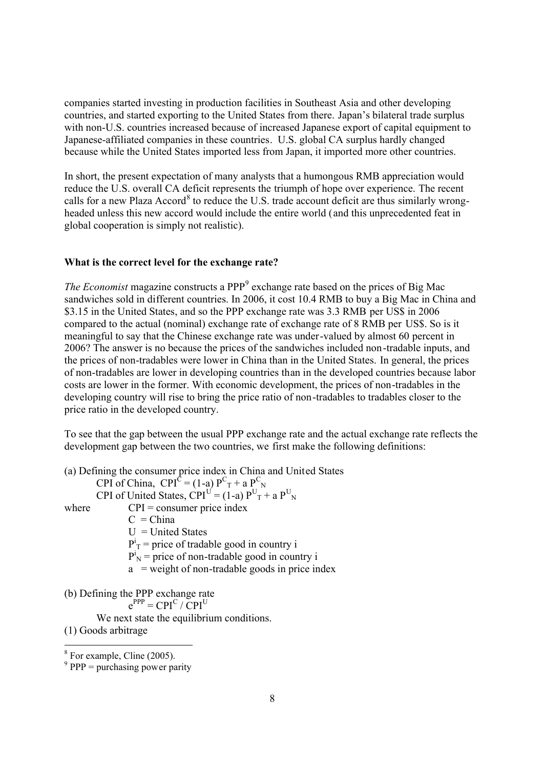companies started investing in production facilities in Southeast Asia and other developing countries, and started exporting to the United States from there. Japan's bilateral trade surplus with non-U.S. countries increased because of increased Japanese export of capital equipment to Japanese-affiliated companies in these countries. U.S. global CA surplus hardly changed because while the United States imported less from Japan, it imported more other countries.

In short, the present expectation of many analysts that a humongous RMB appreciation would reduce the U.S. overall CA deficit represents the triumph of hope over experience. The recent calls for a new Plaza Accord<sup>8</sup> to reduce the U.S. trade account deficit are thus similarly wrongheaded unless this new accord would include the entire world (and this unprecedented feat in global cooperation is simply not realistic).

# **What is the correct level for the exchange rate?**

The Economist magazine constructs a PPP<sup>9</sup> exchange rate based on the prices of Big Mac sandwiches sold in different countries. In 2006, it cost 10.4 RMB to buy a Big Mac in China and \$3.15 in the United States, and so the PPP exchange rate was 3.3 RMB per US\$ in 2006 compared to the actual (nominal) exchange rate of exchange rate of 8 RMB per US\$. So is it meaningful to say that the Chinese exchange rate was under-valued by almost 60 percent in 2006? The answer is no because the prices of the sandwiches included non-tradable inputs, and the prices of non-tradables were lower in China than in the United States. In general, the prices of non-tradables are lower in developing countries than in the developed countries because labor costs are lower in the former. With economic development, the prices of non-tradables in the developing country will rise to bring the price ratio of non-tradables to tradables closer to the price ratio in the developed country.

To see that the gap between the usual PPP exchange rate and the actual exchange rate reflects the development gap between the two countries, we first make the following definitions:

(a) Defining the consumer price index in China and United States CPI of China,  $\text{CPI}^{\text{C}} = (1-a) \text{P}^{\text{C}}_{\text{T}} + a \text{P}^{\text{C}}_{\text{N}}$ CPI of United States, CPI<sup>U</sup> = (1-a)  $P^{U}{}_{T}$  + a  $P^{U}{}_{N}$ where  $CPI = \text{consumer price index}$  $C = China$  $U =$  United States  $P^{i}$ <sub>T</sub> = price of tradable good in country i  $P_N^i$  = price of non-tradable good in country i  $a =$  weight of non-tradable goods in price index

(b) Defining the PPP exchange rate

 $e^{PPP} = CPI^C / \overline{CPI}^U$ 

We next state the equilibrium conditions.

(1) Goods arbitrage

<sup>&</sup>lt;sup>8</sup> For example, Cline (2005).

 $9$  PPP = purchasing power parity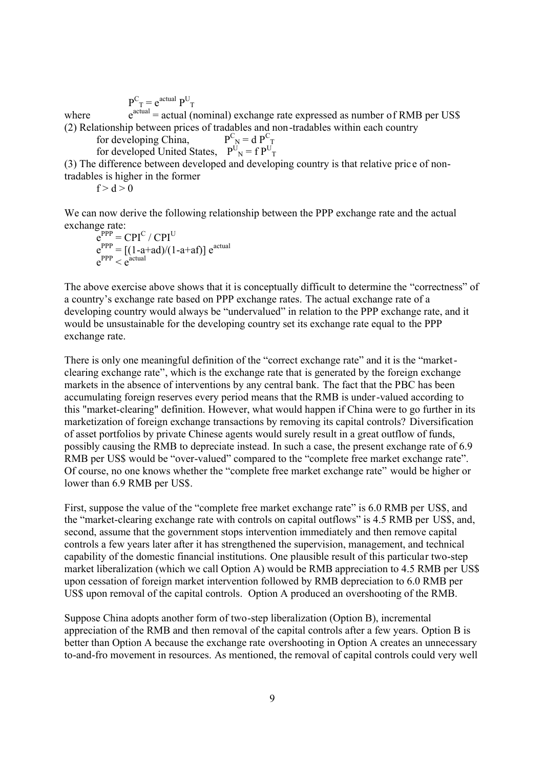$P^{C}{}_{T} = e^{actual} P^{U}{}_{T}$ 

where  $e^{actual}$  = actual (nominal) exchange rate expressed as number of RMB per US\$ (2) Relationship between prices of tradables and non-tradables within each country for developing China,  $P^{C}_{N} = d P^{C}_{T}$ <br>for developed United States,  $P^{U}_{N} = f P^{U}_{T}$ 

(3) The difference between developed and developing country is that relative price of nontradables is higher in the former

 $f > d > 0$ 

We can now derive the following relationship between the PPP exchange rate and the actual exchange rate:

 $e^{PPP} = CPI^C / CPI^U$  $e^{PPP} = [(1-a+a d)/(1-a+a f)] e^{actual}$  $e^{PPP} < e^{actual}$ 

The above exercise above shows that it is conceptually difficult to determine the "correctness" of a country's exchange rate based on PPP exchange rates. The actual exchange rate of a developing country would always be "undervalued" in relation to the PPP exchange rate, and it would be unsustainable for the developing country set its exchange rate equal to the PPP exchange rate.

There is only one meaningful definition of the "correct exchange rate" and it is the "marketclearing exchange rate", which is the exchange rate that is generated by the foreign exchange markets in the absence of interventions by any central bank. The fact that the PBC has been accumulating foreign reserves every period means that the RMB is under-valued according to this "market-clearing" definition. However, what would happen if China were to go further in its marketization of foreign exchange transactions by removing its capital controls? Diversification of asset portfolios by private Chinese agents would surely result in a great outflow of funds, possibly causing the RMB to depreciate instead. In such a case, the present exchange rate of 6.9 RMB per US\$ would be "over-valued" compared to the "complete free market exchange rate". Of course, no one knows whether the "complete free market exchange rate" would be higher or lower than 6.9 RMB per US\$.

First, suppose the value of the "complete free market exchange rate" is 6.0 RMB per US\$, and the "market-clearing exchange rate with controls on capital outflows" is 4.5 RMB per US\$, and, second, assume that the government stops intervention immediately and then remove capital controls a few years later after it has strengthened the supervision, management, and technical capability of the domestic financial institutions. One plausible result of this particular two-step market liberalization (which we call Option A) would be RMB appreciation to 4.5 RMB per US\$ upon cessation of foreign market intervention followed by RMB depreciation to 6.0 RMB per US\$ upon removal of the capital controls. Option A produced an overshooting of the RMB.

Suppose China adopts another form of two-step liberalization (Option B), incremental appreciation of the RMB and then removal of the capital controls after a few years. Option B is better than Option A because the exchange rate overshooting in Option A creates an unnecessary to-and-fro movement in resources. As mentioned, the removal of capital controls could very well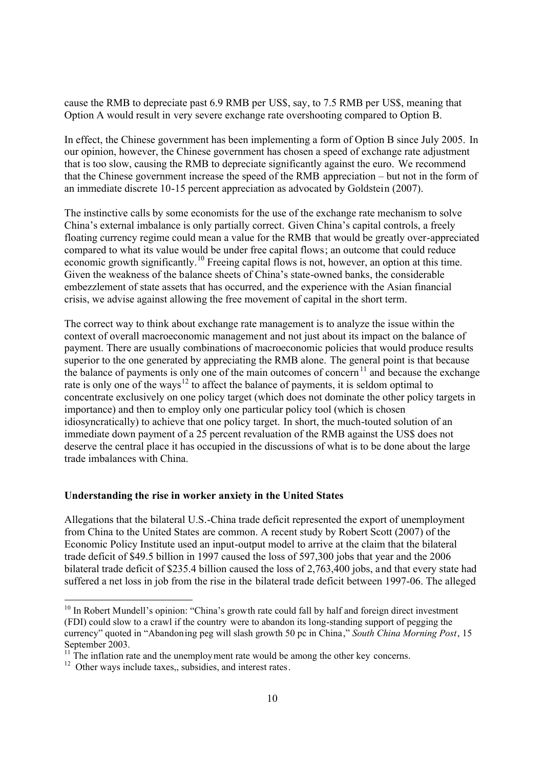cause the RMB to depreciate past 6.9 RMB per US\$, say, to 7.5 RMB per US\$, meaning that Option A would result in very severe exchange rate overshooting compared to Option B.

In effect, the Chinese government has been implementing a form of Option B since July 2005. In our opinion, however, the Chinese government has chosen a speed of exchange rate adjustment that is too slow, causing the RMB to depreciate significantly against the euro. We recommend that the Chinese government increase the speed of the RMB appreciation – but not in the form of an immediate discrete 10-15 percent appreciation as advocated by Goldstein (2007).

The instinctive calls by some economists for the use of the exchange rate mechanism to solve China's external imbalance is only partially correct. Given China's capital controls, a freely floating currency regime could mean a value for the RMB that would be greatly over-appreciated compared to what its value would be under free capital flows; an outcome that could reduce economic growth significantly.<sup>10</sup> Freeing capital flows is not, however, an option at this time. Given the weakness of the balance sheets of China's state-owned banks, the considerable embezzlement of state assets that has occurred, and the experience with the Asian financial crisis, we advise against allowing the free movement of capital in the short term.

The correct way to think about exchange rate management is to analyze the issue within the context of overall macroeconomic management and not just about its impact on the balance of payment. There are usually combinations of macroeconomic policies that would produce results superior to the one generated by appreciating the RMB alone. The general point is that because the balance of payments is only one of the main outcomes of concern<sup>11</sup> and because the exchange rate is only one of the ways<sup>12</sup> to affect the balance of payments, it is seldom optimal to concentrate exclusively on one policy target (which does not dominate the other policy targets in importance) and then to employ only one particular policy tool (which is chosen idiosyncratically) to achieve that one policy target. In short, the much-touted solution of an immediate down payment of a 25 percent revaluation of the RMB against the US\$ does not deserve the central place it has occupied in the discussions of what is to be done about the large trade imbalances with China.

#### **Understanding the rise in worker anxiety in the United States**

Allegations that the bilateral U.S.-China trade deficit represented the export of unemployment from China to the United States are common. A recent study by Robert Scott (2007) of the Economic Policy Institute used an input-output model to arrive at the claim that the bilateral trade deficit of \$49.5 billion in 1997 caused the loss of 597,300 jobs that year and the 2006 bilateral trade deficit of \$235.4 billion caused the loss of 2,763,400 jobs, and that every state had suffered a net loss in job from the rise in the bilateral trade deficit between 1997-06. The alleged

 $10$  In Robert Mundell's opinion: "China's growth rate could fall by half and foreign direct investment (FDI) could slow to a crawl if the country were to abandon its long-standing support of pegging the currency" quoted in "Abandoning peg will slash growth 50 pc in China," *South China Morning Post*, 15 September 2003.

 $11$ <sup>11</sup>. The inflation rate and the unemployment rate would be among the other key concerns.

<sup>&</sup>lt;sup>12</sup> Other ways include taxes,, subsidies, and interest rates.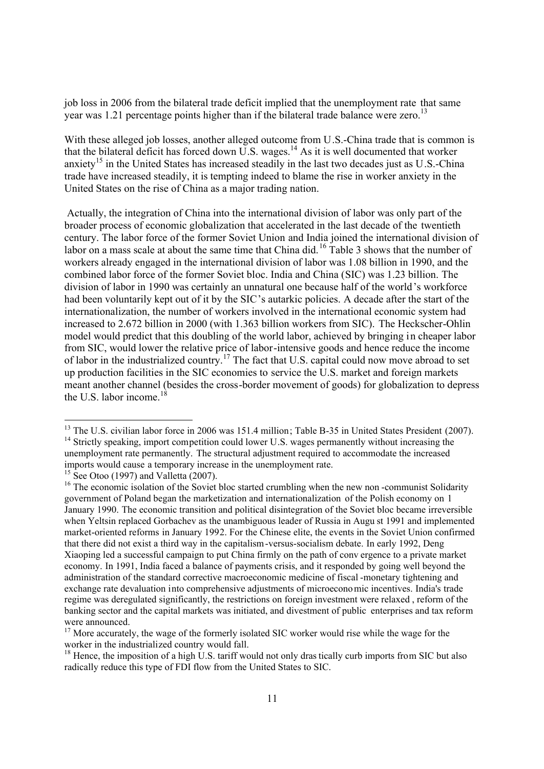job loss in 2006 from the bilateral trade deficit implied that the unemployment rate that same year was 1.21 percentage points higher than if the bilateral trade balance were zero.<sup>13</sup>

With these alleged job losses, another alleged outcome from U.S.-China trade that is common is that the bilateral deficit has forced down U.S. wages.<sup>14</sup> As it is well documented that worker anxiety<sup>15</sup> in the United States has increased steadily in the last two decades just as U.S.-China trade have increased steadily, it is tempting indeed to blame the rise in worker anxiety in the United States on the rise of China as a major trading nation.

Actually, the integration of China into the international division of labor was only part of the broader process of economic globalization that accelerated in the last decade of the twentieth century. The labor force of the former Soviet Union and India joined the international division of labor on a mass scale at about the same time that China did.<sup>16</sup> Table 3 shows that the number of workers already engaged in the international division of labor was 1.08 billion in 1990, and the combined labor force of the former Soviet bloc. India and China (SIC) was 1.23 billion. The division of labor in 1990 was certainly an unnatural one because half of the world's workforce had been voluntarily kept out of it by the SIC's autarkic policies. A decade after the start of the internationalization, the number of workers involved in the international economic system had increased to 2.672 billion in 2000 (with 1.363 billion workers from SIC). The Heckscher-Ohlin model would predict that this doubling of the world labor, achieved by bringing in cheaper labor from SIC, would lower the relative price of labor-intensive goods and hence reduce the income of labor in the industrialized country.<sup>17</sup> The fact that U.S. capital could now move abroad to set up production facilities in the SIC economies to service the U.S. market and foreign markets meant another channel (besides the cross-border movement of goods) for globalization to depress the U.S. labor income.<sup>18</sup>

<sup>&</sup>lt;sup>13</sup> The U.S. civilian labor force in 2006 was 151.4 million; Table B-35 in United States President (2007). <sup>14</sup> Strictly speaking, import competition could lower U.S. wages permanently without increasing the unemployment rate permanently. The structural adjustment required to accommodate the increased imports would cause a temporary increase in the unemployment rate.

<sup>&</sup>lt;sup>15</sup> See Otoo (1997) and Valletta (2007).

<sup>&</sup>lt;sup>16</sup> The economic isolation of the Soviet bloc started crumbling when the new non-communist Solidarity government of Poland began the marketization and internationalization of the Polish economy on 1 January 1990. The economic transition and political disintegration of the Soviet bloc became irreversible when Yeltsin replaced Gorbachev as the unambiguous leader of Russia in Augu st 1991 and implemented market-oriented reforms in January 1992. For the Chinese elite, the events in the Soviet Union confirmed that there did not exist a third way in the capitalism-versus-socialism debate. In early 1992, Deng Xiaoping led a successful campaign to put China firmly on the path of conv ergence to a private market economy. In 1991, India faced a balance of payments crisis, and it responded by going well beyond the administration of the standard corrective macroeconomic medicine of fiscal -monetary tightening and exchange rate devaluation into comprehensive adjustments of microeconomic incentives. India's trade regime was deregulated significantly, the restrictions on foreign investment were relaxed , reform of the banking sector and the capital markets was initiated, and divestment of public enterprises and tax reform were announced.

<sup>&</sup>lt;sup>17</sup> More accurately, the wage of the formerly isolated SIC worker would rise while the wage for the worker in the industrialized country would fall.

<sup>&</sup>lt;sup>18</sup> Hence, the imposition of a high U.S. tariff would not only drastically curb imports from SIC but also radically reduce this type of FDI flow from the United States to SIC.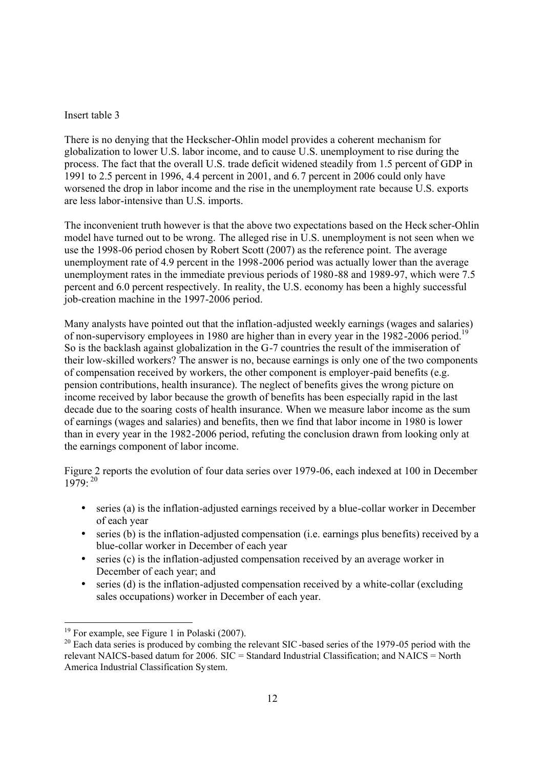# Insert table 3

There is no denying that the Heckscher-Ohlin model provides a coherent mechanism for globalization to lower U.S. labor income, and to cause U.S. unemployment to rise during the process. The fact that the overall U.S. trade deficit widened steadily from 1.5 percent of GDP in 1991 to 2.5 percent in 1996, 4.4 percent in 2001, and 6.7 percent in 2006 could only have worsened the drop in labor income and the rise in the unemployment rate because U.S. exports are less labor-intensive than U.S. imports.

The inconvenient truth however is that the above two expectations based on the Heck scher-Ohlin model have turned out to be wrong. The alleged rise in U.S. unemployment is not seen when we use the 1998-06 period chosen by Robert Scott (2007) as the reference point. The average unemployment rate of 4.9 percent in the 1998-2006 period was actually lower than the average unemployment rates in the immediate previous periods of 1980-88 and 1989-97, which were 7.5 percent and 6.0 percent respectively. In reality, the U.S. economy has been a highly successful job-creation machine in the 1997-2006 period.

Many analysts have pointed out that the inflation-adjusted weekly earnings (wages and salaries) of non-supervisory employees in 1980 are higher than in every year in the 1982-2006 period.<sup>19</sup> So is the backlash against globalization in the G-7 countries the result of the immiseration of their low-skilled workers? The answer is no, because earnings is only one of the two components of compensation received by workers, the other component is employer-paid benefits (e.g. pension contributions, health insurance). The neglect of benefits gives the wrong picture on income received by labor because the growth of benefits has been especially rapid in the last decade due to the soaring costs of health insurance. When we measure labor income as the sum of earnings (wages and salaries) and benefits, then we find that labor income in 1980 is lower than in every year in the 1982-2006 period, refuting the conclusion drawn from looking only at the earnings component of labor income.

Figure 2 reports the evolution of four data series over 1979-06, each indexed at 100 in December  $1979 \cdot 20$ 

- series (a) is the inflation-adjusted earnings received by a blue-collar worker in December of each year
- series (b) is the inflation-adjusted compensation (i.e. earnings plus benefits) received by a blue-collar worker in December of each year
- series (c) is the inflation-adjusted compensation received by an average worker in December of each year; and
- series (d) is the inflation-adjusted compensation received by a white-collar (excluding sales occupations) worker in December of each year.

 $\overline{a}$ 

<sup>&</sup>lt;sup>19</sup> For example, see Figure 1 in Polaski (2007).

 $20$  Each data series is produced by combing the relevant SIC-based series of the 1979-05 period with the relevant NAICS-based datum for 2006. SIC = Standard Industrial Classification; and NAICS = North America Industrial Classification System.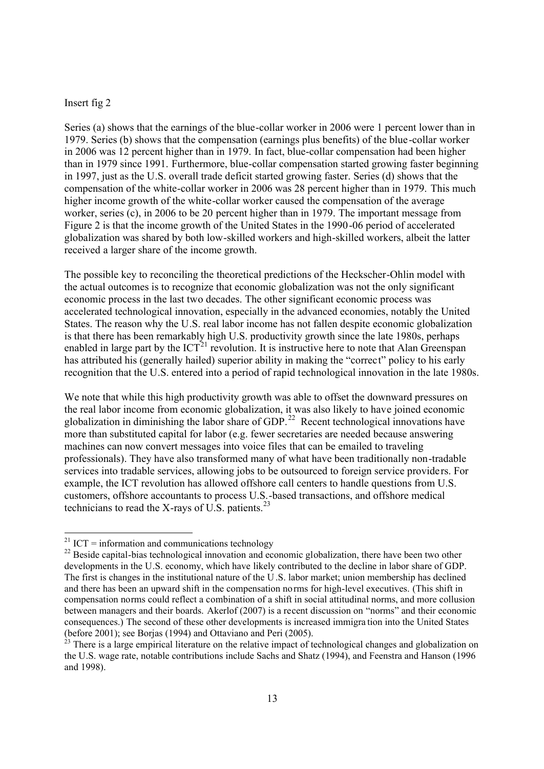#### Insert fig 2

Series (a) shows that the earnings of the blue-collar worker in 2006 were 1 percent lower than in 1979. Series (b) shows that the compensation (earnings plus benefits) of the blue-collar worker in 2006 was 12 percent higher than in 1979. In fact, blue-collar compensation had been higher than in 1979 since 1991. Furthermore, blue-collar compensation started growing faster beginning in 1997, just as the U.S. overall trade deficit started growing faster. Series (d) shows that the compensation of the white-collar worker in 2006 was 28 percent higher than in 1979. This much higher income growth of the white-collar worker caused the compensation of the average worker, series (c), in 2006 to be 20 percent higher than in 1979. The important message from Figure 2 is that the income growth of the United States in the 1990-06 period of accelerated globalization was shared by both low-skilled workers and high-skilled workers, albeit the latter received a larger share of the income growth.

The possible key to reconciling the theoretical predictions of the Heckscher-Ohlin model with the actual outcomes is to recognize that economic globalization was not the only significant economic process in the last two decades. The other significant economic process was accelerated technological innovation, especially in the advanced economies, notably the United States. The reason why the U.S. real labor income has not fallen despite economic globalization is that there has been remarkably high U.S. productivity growth since the late 1980s, perhaps enabled in large part by the  $\text{ICT}^{21}$  revolution. It is instructive here to note that Alan Greenspan has attributed his (generally hailed) superior ability in making the "correct" policy to his early recognition that the U.S. entered into a period of rapid technological innovation in the late 1980s.

We note that while this high productivity growth was able to offset the downward pressures on the real labor income from economic globalization, it was also likely to have joined economic globalization in diminishing the labor share of GDP.<sup>22</sup> Recent technological innovations have more than substituted capital for labor (e.g. fewer secretaries are needed because answering machines can now convert messages into voice files that can be emailed to traveling professionals). They have also transformed many of what have been traditionally non-tradable services into tradable services, allowing jobs to be outsourced to foreign service providers. For example, the ICT revolution has allowed offshore call centers to handle questions from U.S. customers, offshore accountants to process U.S.-based transactions, and offshore medical technicians to read the X-rays of U.S. patients. $^{23}$ 

<sup>&</sup>lt;sup>21</sup> ICT = information and communications technology

<sup>&</sup>lt;sup>22</sup> Beside capital-bias technological innovation and economic globalization, there have been two other developments in the U.S. economy, which have likely contributed to the decline in labor share of GDP. The first is changes in the institutional nature of the U.S. labor market; union membership has declined and there has been an upward shift in the compensation norms for high-level executives. (This shift in compensation norms could reflect a combination of a shift in social attitudinal norms, and more collusion between managers and their boards. Akerlof (2007) is a recent discussion on "norms" and their economic consequences.) The second of these other developments is increased immigra tion into the United States (before 2001); see Borjas (1994) and Ottaviano and Peri (2005).

<sup>&</sup>lt;sup>23</sup> There is a large empirical literature on the relative impact of technological changes and globalization on the U.S. wage rate, notable contributions include Sachs and Shatz (1994), and Feenstra and Hanson (1996 and 1998).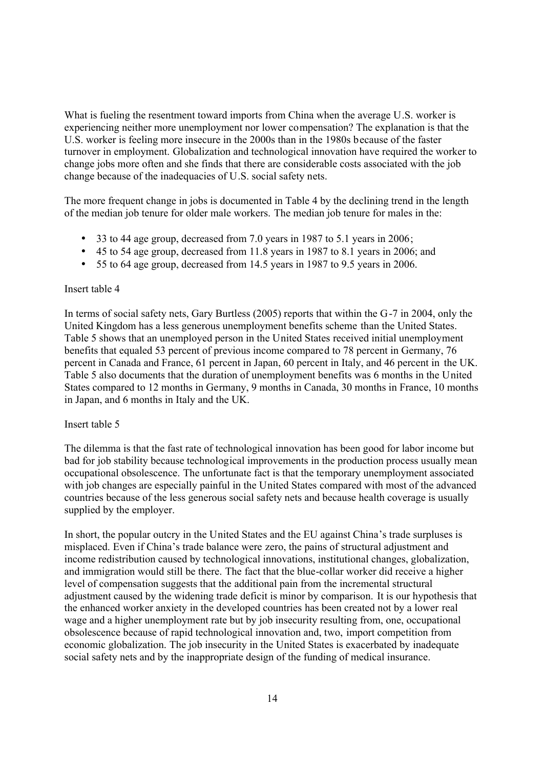What is fueling the resentment toward imports from China when the average U.S. worker is experiencing neither more unemployment nor lower compensation? The explanation is that the U.S. worker is feeling more insecure in the 2000s than in the 1980s because of the faster turnover in employment. Globalization and technological innovation have required the worker to change jobs more often and she finds that there are considerable costs associated with the job change because of the inadequacies of U.S. social safety nets.

The more frequent change in jobs is documented in Table 4 by the declining trend in the length of the median job tenure for older male workers. The median job tenure for males in the:

- 33 to 44 age group, decreased from 7.0 years in 1987 to 5.1 years in 2006;
- 45 to 54 age group, decreased from 11.8 years in 1987 to 8.1 years in 2006; and
- 55 to 64 age group, decreased from 14.5 years in 1987 to 9.5 years in 2006.

#### Insert table 4

In terms of social safety nets, Gary Burtless (2005) reports that within the G-7 in 2004, only the United Kingdom has a less generous unemployment benefits scheme than the United States. Table 5 shows that an unemployed person in the United States received initial unemployment benefits that equaled 53 percent of previous income compared to 78 percent in Germany, 76 percent in Canada and France, 61 percent in Japan, 60 percent in Italy, and 46 percent in the UK. Table 5 also documents that the duration of unemployment benefits was 6 months in the United States compared to 12 months in Germany, 9 months in Canada, 30 months in France, 10 months in Japan, and 6 months in Italy and the UK.

# Insert table 5

The dilemma is that the fast rate of technological innovation has been good for labor income but bad for job stability because technological improvements in the production process usually mean occupational obsolescence. The unfortunate fact is that the temporary unemployment associated with job changes are especially painful in the United States compared with most of the advanced countries because of the less generous social safety nets and because health coverage is usually supplied by the employer.

In short, the popular outcry in the United States and the EU against China's trade surpluses is misplaced. Even if China's trade balance were zero, the pains of structural adjustment and income redistribution caused by technological innovations, institutional changes, globalization, and immigration would still be there. The fact that the blue-collar worker did receive a higher level of compensation suggests that the additional pain from the incremental structural adjustment caused by the widening trade deficit is minor by comparison. It is our hypothesis that the enhanced worker anxiety in the developed countries has been created not by a lower real wage and a higher unemployment rate but by job insecurity resulting from, one, occupational obsolescence because of rapid technological innovation and, two, import competition from economic globalization. The job insecurity in the United States is exacerbated by inadequate social safety nets and by the inappropriate design of the funding of medical insurance.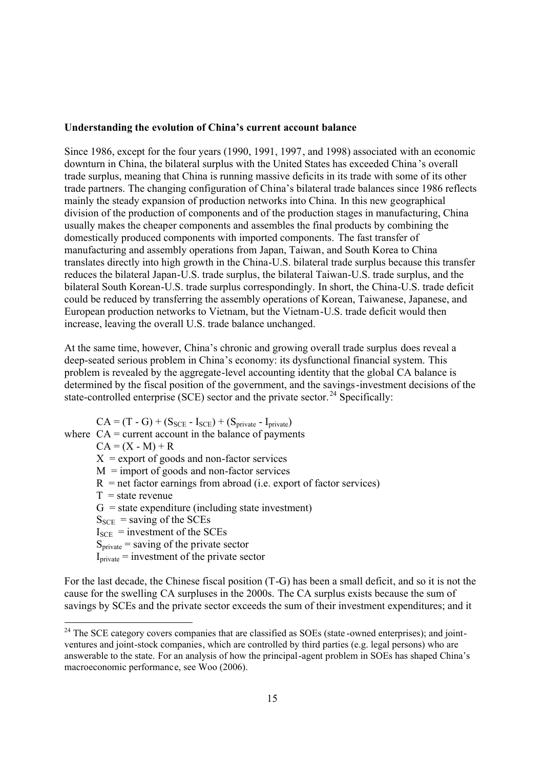#### **Understanding the evolution of China's current account balance**

Since 1986, except for the four years (1990, 1991, 1997, and 1998) associated with an economic downturn in China, the bilateral surplus with the United States has exceeded China 's overall trade surplus, meaning that China is running massive deficits in its trade with some of its other trade partners. The changing configuration of China's bilateral trade balances since 1986 reflects mainly the steady expansion of production networks into China. In this new geographical division of the production of components and of the production stages in manufacturing, China usually makes the cheaper components and assembles the final products by combining the domestically produced components with imported components. The fast transfer of manufacturing and assembly operations from Japan, Taiwan, and South Korea to China translates directly into high growth in the China-U.S. bilateral trade surplus because this transfer reduces the bilateral Japan-U.S. trade surplus, the bilateral Taiwan-U.S. trade surplus, and the bilateral South Korean-U.S. trade surplus correspondingly. In short, the China-U.S. trade deficit could be reduced by transferring the assembly operations of Korean, Taiwanese, Japanese, and European production networks to Vietnam, but the Vietnam-U.S. trade deficit would then increase, leaving the overall U.S. trade balance unchanged.

At the same time, however, China's chronic and growing overall trade surplus does reveal a deep-seated serious problem in China's economy: its dysfunctional financial system. This problem is revealed by the aggregate-level accounting identity that the global CA balance is determined by the fiscal position of the government, and the savings-investment decisions of the state-controlled enterprise (SCE) sector and the private sector.<sup>24</sup> Specifically:

 $CA = (T - G) + (S<sub>SCE</sub> - I<sub>SCE</sub>) + (S<sub>private</sub> - I<sub>private</sub>)$ where  $CA =$  current account in the balance of payments  $CA = (X - M) + R$  $X =$  export of goods and non-factor services  $M =$  import of goods and non-factor services  $R$  = net factor earnings from abroad (i.e. export of factor services)  $T =$ state revenue  $G = state$  expenditure (including state investment)  $S_{SCE}$  = saving of the SCEs  $I_{SCE}$  = investment of the SCEs  $S<sub>private</sub> = saving of the private sector$  $I<sub>private</sub> = investment of the private sector$ 

 $\overline{a}$ 

For the last decade, the Chinese fiscal position (T-G) has been a small deficit, and so it is not the cause for the swelling CA surpluses in the 2000s. The CA surplus exists because the sum of savings by SCEs and the private sector exceeds the sum of their investment expenditures; and it

<sup>&</sup>lt;sup>24</sup> The SCE category covers companies that are classified as SOEs (state-owned enterprises); and jointventures and joint-stock companies, which are controlled by third parties (e.g. legal persons) who are answerable to the state. For an analysis of how the principal-agent problem in SOEs has shaped China's macroeconomic performance, see Woo (2006).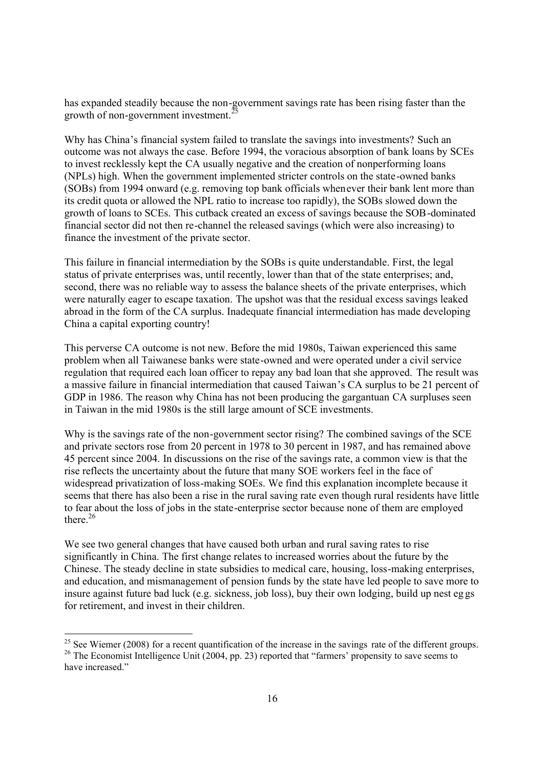has expanded steadily because the non-government savings rate has been rising faster than the growth of non-government investment.<sup>25</sup>

Why has China's financial system failed to translate the savings into investments? Such an outcome was not always the case. Before 1994, the voracious absorption of bank loans by SCEs to invest recklessly kept the CA usually negative and the creation of nonperforming loans (NPLs) high. When the government implemented stricter controls on the state-owned banks (SOBs) from 1994 onward (e.g. removing top bank officials whenever their bank lent more than its credit quota or allowed the NPL ratio to increase too rapidly), the SOBs slowed down the growth of loans to SCEs. This cutback created an excess of savings because the SOB-dominated financial sector did not then re-channel the released savings (which were also increasing) to finance the investment of the private sector.

This failure in financial intermediation by the SOBs is quite understandable. First, the legal status of private enterprises was, until recently, lower than that of the state enterprises; and, second, there was no reliable way to assess the balance sheets of the private enterprises, which were naturally eager to escape taxation. The upshot was that the residual excess savings leaked abroad in the form of the CA surplus. Inadequate financial intermediation has made developing China a capital exporting country!

This perverse CA outcome is not new. Before the mid 1980s, Taiwan experienced this same problem when all Taiwanese banks were state-owned and were operated under a civil service regulation that required each loan officer to repay any bad loan that she approved. The result was a massive failure in financial intermediation that caused Taiwan's CA surplus to be 21 percent of GDP in 1986. The reason why China has not been producing the gargantuan CA surpluses seen in Taiwan in the mid 1980s is the still large amount of SCE investments.

Why is the savings rate of the non-government sector rising? The combined savings of the SCE and private sectors rose from 20 percent in 1978 to 30 percent in 1987, and has remained above 45 percent since 2004. In discussions on the rise of the savings rate, a common view is that the rise reflects the uncertainty about the future that many SOE workers feel in the face of widespread privatization of loss-making SOEs. We find this explanation incomplete because it seems that there has also been a rise in the rural saving rate even though rural residents have little to fear about the loss of jobs in the state-enterprise sector because none of them are employed there $^{26}$ 

We see two general changes that have caused both urban and rural saving rates to rise significantly in China. The first change relates to increased worries about the future by the Chinese. The steady decline in state subsidies to medical care, housing, loss-making enterprises, and education, and mismanagement of pension funds by the state have led people to save more to insure against future bad luck (e.g. sickness, job loss), buy their own lodging, build up nest eg gs for retirement, and invest in their children.

 $^{25}$  See Wiemer (2008) for a recent quantification of the increase in the savings rate of the different groups. <sup>26</sup> The Economist Intelligence Unit (2004, pp. 23) reported that "farmers' propensity to save seems to

have increased."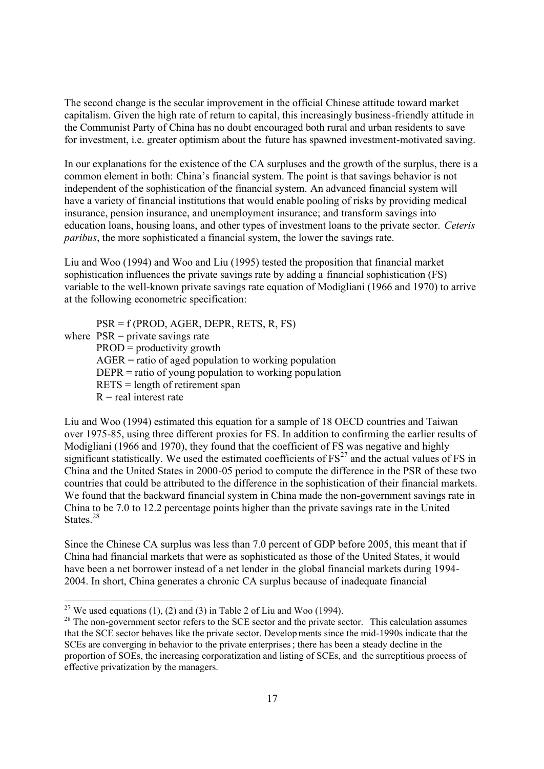The second change is the secular improvement in the official Chinese attitude toward market capitalism. Given the high rate of return to capital, this increasingly business-friendly attitude in the Communist Party of China has no doubt encouraged both rural and urban residents to save for investment, i.e. greater optimism about the future has spawned investment-motivated saving.

In our explanations for the existence of the CA surpluses and the growth of the surplus, there is a common element in both: China's financial system. The point is that savings behavior is not independent of the sophistication of the financial system. An advanced financial system will have a variety of financial institutions that would enable pooling of risks by providing medical insurance, pension insurance, and unemployment insurance; and transform savings into education loans, housing loans, and other types of investment loans to the private sector. *Ceteris paribus*, the more sophisticated a financial system, the lower the savings rate.

Liu and Woo (1994) and Woo and Liu (1995) tested the proposition that financial market sophistication influences the private savings rate by adding a financial sophistication (FS) variable to the well-known private savings rate equation of Modigliani (1966 and 1970) to arrive at the following econometric specification:

 $PSR = f (PROD, AGER, DEPR, RETS, R, FS)$ where  $PSR =$  private savings rate  $PROD =$  productivity growth  $AGER$  = ratio of aged population to working population  $DEPR = ratio of young population to working population$ RETS = length of retirement span  $R$  = real interest rate

Liu and Woo (1994) estimated this equation for a sample of 18 OECD countries and Taiwan over 1975-85, using three different proxies for FS. In addition to confirming the earlier results of Modigliani (1966 and 1970), they found that the coefficient of FS was negative and highly significant statistically. We used the estimated coefficients of  $FS<sup>27</sup>$  and the actual values of FS in China and the United States in 2000-05 period to compute the difference in the PSR of these two countries that could be attributed to the difference in the sophistication of their financial markets. We found that the backward financial system in China made the non-government savings rate in China to be 7.0 to 12.2 percentage points higher than the private savings rate in the United States<sup>28</sup>

Since the Chinese CA surplus was less than 7.0 percent of GDP before 2005, this meant that if China had financial markets that were as sophisticated as those of the United States, it would have been a net borrower instead of a net lender in the global financial markets during 1994- 2004. In short, China generates a chronic CA surplus because of inadequate financial

<sup>&</sup>lt;sup>27</sup> We used equations (1), (2) and (3) in Table 2 of Liu and Woo (1994).

<sup>&</sup>lt;sup>28</sup> The non-government sector refers to the SCE sector and the private sector. This calculation assumes that the SCE sector behaves like the private sector. Developments since the mid-1990s indicate that the SCEs are converging in behavior to the private enterprises; there has been a steady decline in the proportion of SOEs, the increasing corporatization and listing of SCEs, and the surreptitious process of effective privatization by the managers.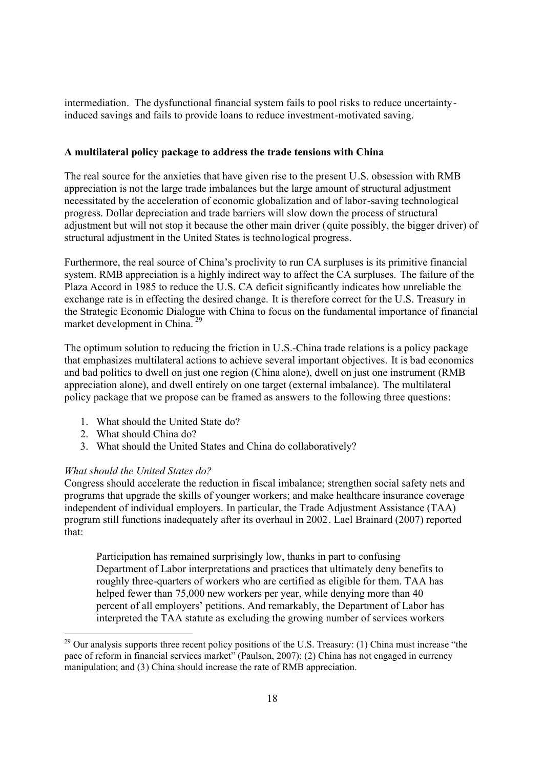intermediation. The dysfunctional financial system fails to pool risks to reduce uncertaintyinduced savings and fails to provide loans to reduce investment-motivated saving.

# **A multilateral policy package to address the trade tensions with China**

The real source for the anxieties that have given rise to the present U.S. obsession with RMB appreciation is not the large trade imbalances but the large amount of structural adjustment necessitated by the acceleration of economic globalization and of labor-saving technological progress. Dollar depreciation and trade barriers will slow down the process of structural adjustment but will not stop it because the other main driver (quite possibly, the bigger driver) of structural adjustment in the United States is technological progress.

Furthermore, the real source of China's proclivity to run CA surpluses is its primitive financial system. RMB appreciation is a highly indirect way to affect the CA surpluses. The failure of the Plaza Accord in 1985 to reduce the U.S. CA deficit significantly indicates how unreliable the exchange rate is in effecting the desired change. It is therefore correct for the U.S. Treasury in the Strategic Economic Dialogue with China to focus on the fundamental importance of financial market development in China. <sup>29</sup>

The optimum solution to reducing the friction in U.S.-China trade relations is a policy package that emphasizes multilateral actions to achieve several important objectives. It is bad economics and bad politics to dwell on just one region (China alone), dwell on just one instrument (RMB appreciation alone), and dwell entirely on one target (external imbalance). The multilateral policy package that we propose can be framed as answers to the following three questions:

- 1. What should the United State do?
- 2. What should China do?
- 3. What should the United States and China do collaboratively?

# *What should the United States do?*

Congress should accelerate the reduction in fiscal imbalance; strengthen social safety nets and programs that upgrade the skills of younger workers; and make healthcare insurance coverage independent of individual employers. In particular, the Trade Adjustment Assistance (TAA) program still functions inadequately after its overhaul in 2002. Lael Brainard (2007) reported that:

Participation has remained surprisingly low, thanks in part to confusing Department of Labor interpretations and practices that ultimately deny benefits to roughly three-quarters of workers who are certified as eligible for them. TAA has helped fewer than 75,000 new workers per year, while denying more than 40 percent of all employers' petitions. And remarkably, the Department of Labor has interpreted the TAA statute as excluding the growing number of services workers

 $29$  Our analysis supports three recent policy positions of the U.S. Treasury: (1) China must increase "the pace of reform in financial services market" (Paulson, 2007); (2) China has not engaged in currency manipulation; and (3) China should increase the rate of RMB appreciation.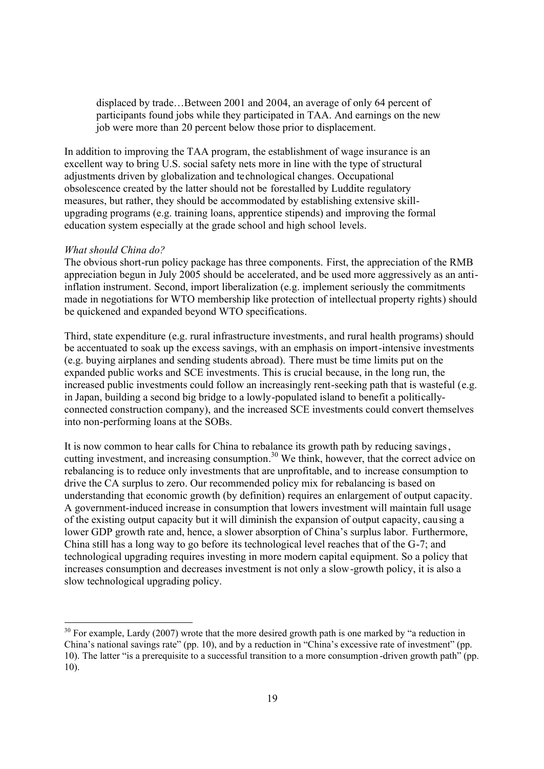displaced by trade…Between 2001 and 2004, an average of only 64 percent of participants found jobs while they participated in TAA. And earnings on the new job were more than 20 percent below those prior to displacement.

In addition to improving the TAA program, the establishment of wage insurance is an excellent way to bring U.S. social safety nets more in line with the type of structural adjustments driven by globalization and technological changes. Occupational obsolescence created by the latter should not be forestalled by Luddite regulatory measures, but rather, they should be accommodated by establishing extensive skillupgrading programs (e.g. training loans, apprentice stipends) and improving the formal education system especially at the grade school and high school levels.

#### *What should China do?*

 $\overline{a}$ 

The obvious short-run policy package has three components. First, the appreciation of the RMB appreciation begun in July 2005 should be accelerated, and be used more aggressively as an antiinflation instrument. Second, import liberalization (e.g. implement seriously the commitments made in negotiations for WTO membership like protection of intellectual property rights) should be quickened and expanded beyond WTO specifications.

Third, state expenditure (e.g. rural infrastructure investments, and rural health programs) should be accentuated to soak up the excess savings, with an emphasis on import-intensive investments (e.g. buying airplanes and sending students abroad). There must be time limits put on the expanded public works and SCE investments. This is crucial because, in the long run, the increased public investments could follow an increasingly rent-seeking path that is wasteful (e.g. in Japan, building a second big bridge to a lowly-populated island to benefit a politicallyconnected construction company), and the increased SCE investments could convert themselves into non-performing loans at the SOBs.

It is now common to hear calls for China to rebalance its growth path by reducing savings, cutting investment, and increasing consumption.<sup>30</sup> We think, however, that the correct advice on rebalancing is to reduce only investments that are unprofitable, and to increase consumption to drive the CA surplus to zero. Our recommended policy mix for rebalancing is based on understanding that economic growth (by definition) requires an enlargement of output capacity. A government-induced increase in consumption that lowers investment will maintain full usage of the existing output capacity but it will diminish the expansion of output capacity, cau sing a lower GDP growth rate and, hence, a slower absorption of China's surplus labor. Furthermore, China still has a long way to go before its technological level reaches that of the G-7; and technological upgrading requires investing in more modern capital equipment. So a policy that increases consumption and decreases investment is not only a slow-growth policy, it is also a slow technological upgrading policy.

<sup>&</sup>lt;sup>30</sup> For example, Lardy (2007) wrote that the more desired growth path is one marked by "a reduction in China's national savings rate" (pp. 10), and by a reduction in "China's excessive rate of investment" (pp. 10). The latter "is a prerequisite to a successful transition to a more consumption -driven growth path" (pp. 10).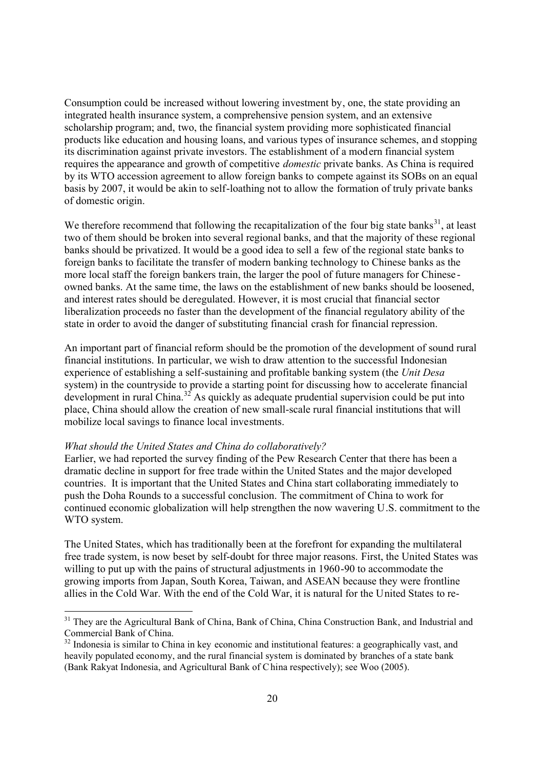Consumption could be increased without lowering investment by, one, the state providing an integrated health insurance system, a comprehensive pension system, and an extensive scholarship program; and, two, the financial system providing more sophisticated financial products like education and housing loans, and various types of insurance schemes, and stopping its discrimination against private investors. The establishment of a modern financial system requires the appearance and growth of competitive *domestic* private banks. As China is required by its WTO accession agreement to allow foreign banks to compete against its SOBs on an equal basis by 2007, it would be akin to self-loathing not to allow the formation of truly private banks of domestic origin.

We therefore recommend that following the recapitalization of the four big state banks $31$ , at least two of them should be broken into several regional banks, and that the majority of these regional banks should be privatized. It would be a good idea to sell a few of the regional state banks to foreign banks to facilitate the transfer of modern banking technology to Chinese banks as the more local staff the foreign bankers train, the larger the pool of future managers for Chinese owned banks. At the same time, the laws on the establishment of new banks should be loosened, and interest rates should be deregulated. However, it is most crucial that financial sector liberalization proceeds no faster than the development of the financial regulatory ability of the state in order to avoid the danger of substituting financial crash for financial repression.

An important part of financial reform should be the promotion of the development of sound rural financial institutions. In particular, we wish to draw attention to the successful Indonesian experience of establishing a self-sustaining and profitable banking system (the *Unit Desa* system) in the countryside to provide a starting point for discussing how to accelerate financial development in rural China.<sup>32</sup> As quickly as adequate prudential supervision could be put into place, China should allow the creation of new small-scale rural financial institutions that will mobilize local savings to finance local investments.

#### *What should the United States and China do collaboratively?*

 $\overline{a}$ 

Earlier, we had reported the survey finding of the Pew Research Center that there has been a dramatic decline in support for free trade within the United States and the major developed countries. It is important that the United States and China start collaborating immediately to push the Doha Rounds to a successful conclusion. The commitment of China to work for continued economic globalization will help strengthen the now wavering U.S. commitment to the WTO system.

The United States, which has traditionally been at the forefront for expanding the multilateral free trade system, is now beset by self-doubt for three major reasons. First, the United States was willing to put up with the pains of structural adjustments in 1960-90 to accommodate the growing imports from Japan, South Korea, Taiwan, and ASEAN because they were frontline allies in the Cold War. With the end of the Cold War, it is natural for the United States to re-

<sup>&</sup>lt;sup>31</sup> They are the Agricultural Bank of China, Bank of China, China Construction Bank, and Industrial and Commercial Bank of China.

<sup>&</sup>lt;sup>32</sup> Indonesia is similar to China in key economic and institutional features: a geographically vast, and heavily populated economy, and the rural financial system is dominated by branches of a state bank (Bank Rakyat Indonesia, and Agricultural Bank of China respectively); see Woo (2005).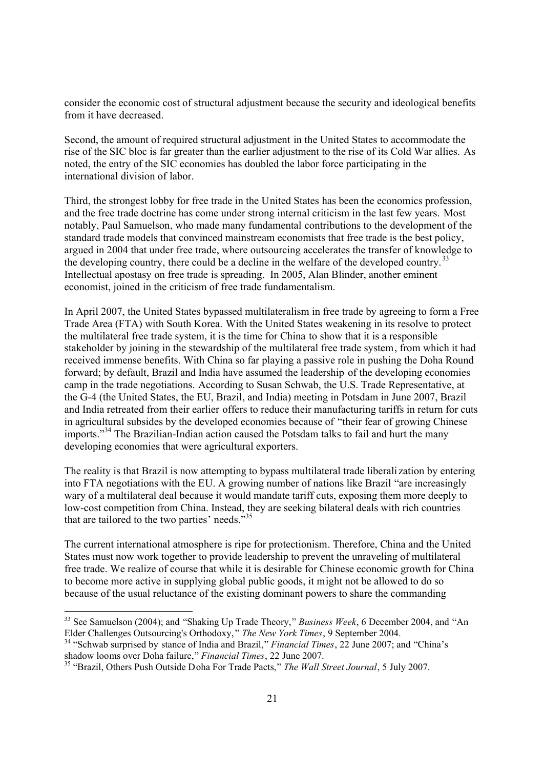consider the economic cost of structural adjustment because the security and ideological benefits from it have decreased.

Second, the amount of required structural adjustment in the United States to accommodate the rise of the SIC bloc is far greater than the earlier adjustment to the rise of its Cold War allies. As noted, the entry of the SIC economies has doubled the labor force participating in the international division of labor.

Third, the strongest lobby for free trade in the United States has been the economics profession, and the free trade doctrine has come under strong internal criticism in the last few years. Most notably, Paul Samuelson, who made many fundamental contributions to the development of the standard trade models that convinced mainstream economists that free trade is the best policy, argued in 2004 that under free trade, where outsourcing accelerates the transfer of knowledge to the developing country, there could be a decline in the welfare of the developed country.<sup>33</sup> Intellectual apostasy on free trade is spreading. In 2005, Alan Blinder, another eminent economist, joined in the criticism of free trade fundamentalism.

In April 2007, the United States bypassed multilateralism in free trade by agreeing to form a Free Trade Area (FTA) with South Korea. With the United States weakening in its resolve to protect the multilateral free trade system, it is the time for China to show that it is a responsible stakeholder by joining in the stewardship of the multilateral free trade system, from which it had received immense benefits. With China so far playing a passive role in pushing the Doha Round forward; by default, Brazil and India have assumed the leadership of the developing economies camp in the trade negotiations. According to Susan Schwab, the U.S. Trade Representative, at the G-4 (the United States, the EU, Brazil, and India) meeting in Potsdam in June 2007, Brazil and India retreated from their earlier offers to reduce their manufacturing tariffs in return for cuts in agricultural subsides by the developed economies because of "their fear of growing Chinese imports."<sup>34</sup> The Brazilian-Indian action caused the Potsdam talks to fail and hurt the many developing economies that were agricultural exporters.

The reality is that Brazil is now attempting to bypass multilateral trade liberali zation by entering into FTA negotiations with the EU. A growing number of nations like Brazil "are increasingly wary of a multilateral deal because it would mandate tariff cuts, exposing them more deeply to low-cost competition from China. Instead, they are seeking bilateral deals with rich countries that are tailored to the two parties' needs."<sup>35</sup>

The current international atmosphere is ripe for protectionism. Therefore, China and the United States must now work together to provide leadership to prevent the unraveling of multilateral free trade. We realize of course that while it is desirable for Chinese economic growth for China to become more active in supplying global public goods, it might not be allowed to do so because of the usual reluctance of the existing dominant powers to share the commanding

 $\overline{a}$ 

<sup>33</sup> See Samuelson (2004); and "Shaking Up Trade Theory," *Business Week*, 6 December 2004, and "An Elder Challenges Outsourcing's Orthodoxy, " *The New York Times*, 9 September 2004.

<sup>34</sup> "Schwab surprised by stance of India and Brazil," *Financial Times*, 22 June 2007; and "China's shadow looms over Doha failure," *Financial Times*, 22 June 2007.

<sup>35</sup> "Brazil, Others Push Outside Doha For Trade Pacts," *The Wall Street Journal*, 5 July 2007.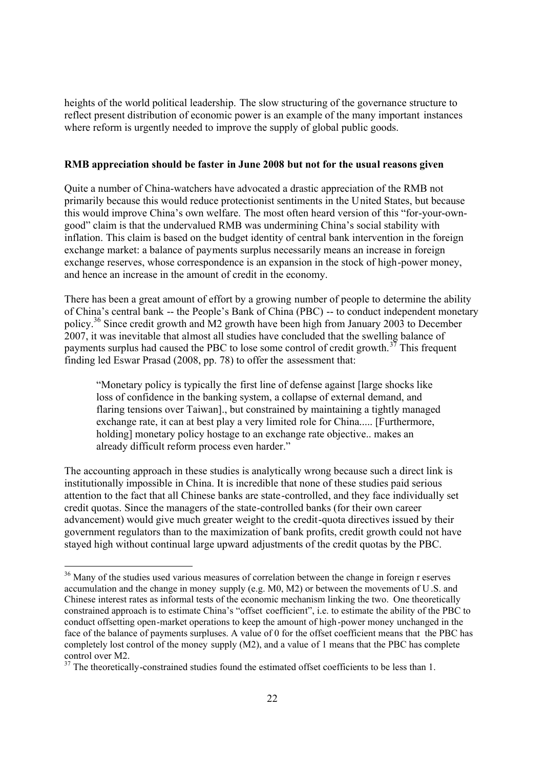heights of the world political leadership. The slow structuring of the governance structure to reflect present distribution of economic power is an example of the many important instances where reform is urgently needed to improve the supply of global public goods.

# **RMB appreciation should be faster in June 2008 but not for the usual reasons given**

Quite a number of China-watchers have advocated a drastic appreciation of the RMB not primarily because this would reduce protectionist sentiments in the United States, but because this would improve China's own welfare. The most often heard version of this "for-your-owngood" claim is that the undervalued RMB was undermining China's social stability with inflation. This claim is based on the budget identity of central bank intervention in the foreign exchange market: a balance of payments surplus necessarily means an increase in foreign exchange reserves, whose correspondence is an expansion in the stock of high-power money, and hence an increase in the amount of credit in the economy.

There has been a great amount of effort by a growing number of people to determine the ability of China's central bank -- the People's Bank of China (PBC) -- to conduct independent monetary policy.<sup>36</sup> Since credit growth and M2 growth have been high from January 2003 to December 2007, it was inevitable that almost all studies have concluded that the swelling balance of payments surplus had caused the PBC to lose some control of credit growth.<sup>37</sup> This frequent finding led Eswar Prasad (2008, pp. 78) to offer the assessment that:

"Monetary policy is typically the first line of defense against [large shocks like loss of confidence in the banking system, a collapse of external demand, and flaring tensions over Taiwan]., but constrained by maintaining a tightly managed exchange rate, it can at best play a very limited role for China..... [Furthermore, holding] monetary policy hostage to an exchange rate objective.. makes an already difficult reform process even harder."

The accounting approach in these studies is analytically wrong because such a direct link is institutionally impossible in China. It is incredible that none of these studies paid serious attention to the fact that all Chinese banks are state-controlled, and they face individually set credit quotas. Since the managers of the state-controlled banks (for their own career advancement) would give much greater weight to the credit-quota directives issued by their government regulators than to the maximization of bank profits, credit growth could not have stayed high without continual large upward adjustments of the credit quotas by the PBC.

 $\overline{a}$ 

<sup>&</sup>lt;sup>36</sup> Many of the studies used various measures of correlation between the change in foreign r eserves accumulation and the change in money supply (e.g. M0, M2) or between the movements of U.S. and Chinese interest rates as informal tests of the economic mechanism linking the two. One theoretically constrained approach is to estimate China's "offset coefficient", i.e. to estimate the ability of the PBC to conduct offsetting open-market operations to keep the amount of high-power money unchanged in the face of the balance of payments surpluses. A value of 0 for the offset coefficient means that the PBC has completely lost control of the money supply (M2), and a value of 1 means that the PBC has complete control over M2.

 $37$  The theoretically-constrained studies found the estimated offset coefficients to be less than 1.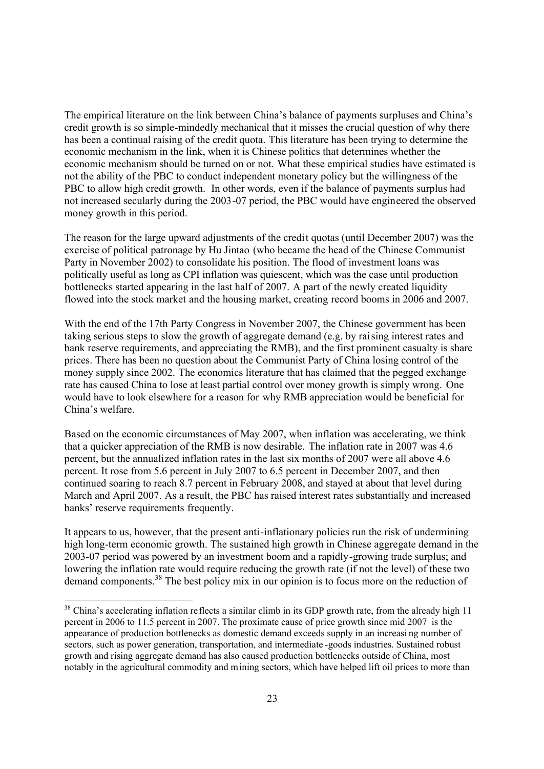The empirical literature on the link between China's balance of payments surpluses and China's credit growth is so simple-mindedly mechanical that it misses the crucial question of why there has been a continual raising of the credit quota. This literature has been trying to determine the economic mechanism in the link, when it is Chinese politics that determines whether the economic mechanism should be turned on or not. What these empirical studies have estimated is not the ability of the PBC to conduct independent monetary policy but the willingness of the PBC to allow high credit growth. In other words, even if the balance of payments surplus had not increased secularly during the 2003-07 period, the PBC would have engineered the observed money growth in this period.

The reason for the large upward adjustments of the credit quotas (until December 2007) was the exercise of political patronage by Hu Jintao (who became the head of the Chinese Communist Party in November 2002) to consolidate his position. The flood of investment loans was politically useful as long as CPI inflation was quiescent, which was the case until production bottlenecks started appearing in the last half of 2007. A part of the newly created liquidity flowed into the stock market and the housing market, creating record booms in 2006 and 2007.

With the end of the 17th Party Congress in November 2007, the Chinese government has been taking serious steps to slow the growth of aggregate demand (e.g. by raising interest rates and bank reserve requirements, and appreciating the RMB), and the first prominent casualty is share prices. There has been no question about the Communist Party of China losing control of the money supply since 2002. The economics literature that has claimed that the pegged exchange rate has caused China to lose at least partial control over money growth is simply wrong. One would have to look elsewhere for a reason for why RMB appreciation would be beneficial for China's welfare.

Based on the economic circumstances of May 2007, when inflation was accelerating, we think that a quicker appreciation of the RMB is now desirable. The inflation rate in 2007 was 4.6 percent, but the annualized inflation rates in the last six months of 2007 were all above 4.6 percent. It rose from 5.6 percent in July 2007 to 6.5 percent in December 2007, and then continued soaring to reach 8.7 percent in February 2008, and stayed at about that level during March and April 2007. As a result, the PBC has raised interest rates substantially and increased banks' reserve requirements frequently.

It appears to us, however, that the present anti-inflationary policies run the risk of undermining high long-term economic growth. The sustained high growth in Chinese aggregate demand in the 2003-07 period was powered by an investment boom and a rapidly-growing trade surplus; and lowering the inflation rate would require reducing the growth rate (if not the level) of these two demand components.<sup>38</sup> The best policy mix in our opinion is to focus more on the reduction of

<sup>&</sup>lt;sup>38</sup> China's accelerating inflation reflects a similar climb in its GDP growth rate, from the already high 11 percent in 2006 to 11.5 percent in 2007. The proximate cause of price growth since mid 2007 is the appearance of production bottlenecks as domestic demand exceeds supply in an increasi ng number of sectors, such as power generation, transportation, and intermediate -goods industries. Sustained robust growth and rising aggregate demand has also caused production bottlenecks outside of China, most notably in the agricultural commodity and mining sectors, which have helped lift oil prices to more than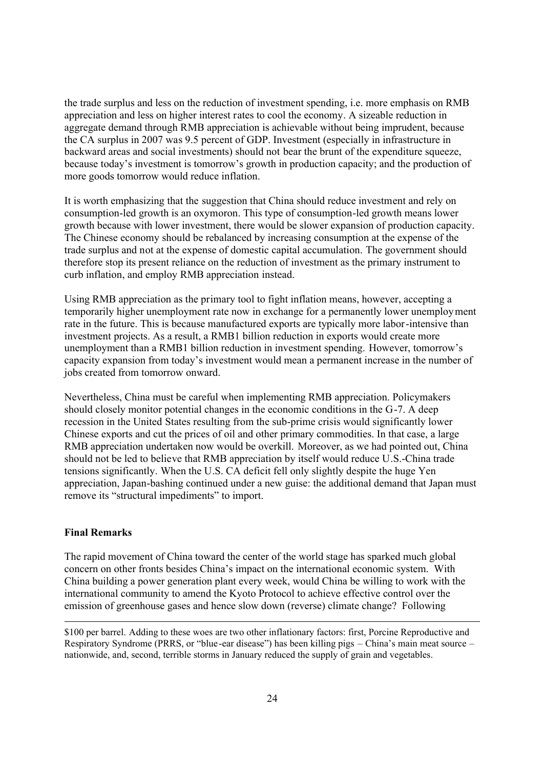the trade surplus and less on the reduction of investment spending, i.e. more emphasis on RMB appreciation and less on higher interest rates to cool the economy. A sizeable reduction in aggregate demand through RMB appreciation is achievable without being imprudent, because the CA surplus in 2007 was 9.5 percent of GDP. Investment (especially in infrastructure in backward areas and social investments) should not bear the brunt of the expenditure squeeze, because today's investment is tomorrow's growth in production capacity; and the production of more goods tomorrow would reduce inflation.

It is worth emphasizing that the suggestion that China should reduce investment and rely on consumption-led growth is an oxymoron. This type of consumption-led growth means lower growth because with lower investment, there would be slower expansion of production capacity. The Chinese economy should be rebalanced by increasing consumption at the expense of the trade surplus and not at the expense of domestic capital accumulation. The government should therefore stop its present reliance on the reduction of investment as the primary instrument to curb inflation, and employ RMB appreciation instead.

Using RMB appreciation as the primary tool to fight inflation means, however, accepting a temporarily higher unemployment rate now in exchange for a permanently lower unemployment rate in the future. This is because manufactured exports are typically more labor-intensive than investment projects. As a result, a RMB1 billion reduction in exports would create more unemployment than a RMB1 billion reduction in investment spending. However, tomorrow's capacity expansion from today's investment would mean a permanent increase in the number of jobs created from tomorrow onward.

Nevertheless, China must be careful when implementing RMB appreciation. Policymakers should closely monitor potential changes in the economic conditions in the G-7. A deep recession in the United States resulting from the sub-prime crisis would significantly lower Chinese exports and cut the prices of oil and other primary commodities. In that case, a large RMB appreciation undertaken now would be overkill. Moreover, as we had pointed out, China should not be led to believe that RMB appreciation by itself would reduce U.S.-China trade tensions significantly. When the U.S. CA deficit fell only slightly despite the huge Yen appreciation, Japan-bashing continued under a new guise: the additional demand that Japan must remove its "structural impediments" to import.

# **Final Remarks**

 $\overline{a}$ 

The rapid movement of China toward the center of the world stage has sparked much global concern on other fronts besides China's impact on the international economic system. With China building a power generation plant every week, would China be willing to work with the international community to amend the Kyoto Protocol to achieve effective control over the emission of greenhouse gases and hence slow down (reverse) climate change? Following

\$100 per barrel. Adding to these woes are two other inflationary factors: first, Porcine Reproductive and Respiratory Syndrome (PRRS, or "blue-ear disease") has been killing pigs – China's main meat source – nationwide, and, second, terrible storms in January reduced the supply of grain and vegetables.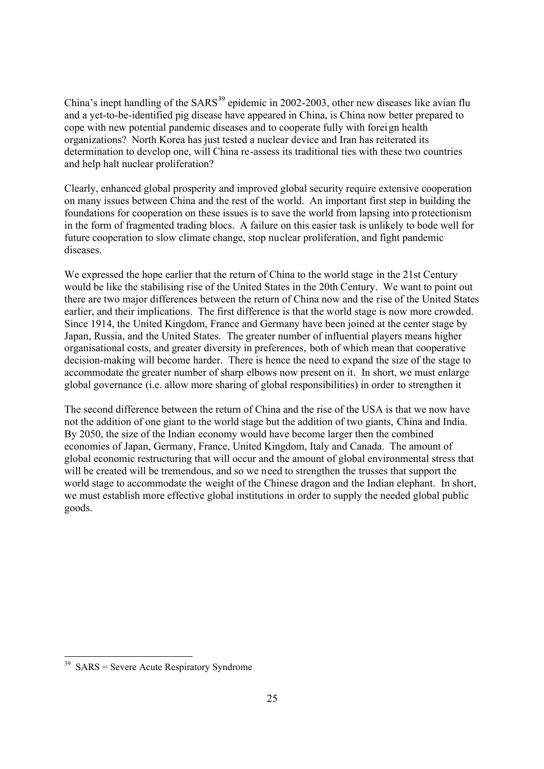China's inept handling of the SARS<sup>39</sup> epidemic in 2002-2003, other new diseases like avian flu and a yet-to-be-identified pig disease have appeared in China, is China now better prepared to cope with new potential pandemic diseases and to cooperate fully with foreign health organizations? North Korea has just tested a nuclear device and Iran has reiterated its determination to develop one, will China re-assess its traditional ties with these two countries and help halt nuclear proliferation?

Clearly, enhanced global prosperity and improved global security require extensive cooperation on many issues between China and the rest of the world. An important first step in building the foundations for cooperation on these issues is to save the world from lapsing into p rotectionism in the form of fragmented trading blocs. A failure on this easier task is unlikely to bode well for future cooperation to slow climate change, stop nuclear proliferation, and fight pandemic diseases.

We expressed the hope earlier that the return of China to the world stage in the 21st Century would be like the stabilising rise of the United States in the 20th Century. We want to point out there are two major differences between the return of China now and the rise of the United States earlier, and their implications. The first difference is that the world stage is now more crowded. Since 1914, the United Kingdom, France and Germany have been joined at the center stage by Japan, Russia, and the United States. The greater number of influential players means higher organisational costs, and greater diversity in preferences, both of which mean that cooperative decision-making will become harder. There is hence the need to expand the size of the stage to accommodate the greater number of sharp elbows now present on it. In short, we must enlarge global governance (i.e. allow more sharing of global responsibilities) in order to strengthen it

The second difference between the return of China and the rise of the USA is that we now have not the addition of one giant to the world stage but the addition of two giants, China and India. By 2050, the size of the Indian economy would have become larger then the combined economies of Japan, Germany, France, United Kingdom, Italy and Canada. The amount of global economic restructuring that will occur and the amount of global environmental stress that will be created will be tremendous, and so we need to strengthen the trusses that support the world stage to accommodate the weight of the Chinese dragon and the Indian elephant. In short, we must establish more effective global institutions in order to supply the needed global public goods.

 $39$  SARS = Severe Acute Respiratory Syndrome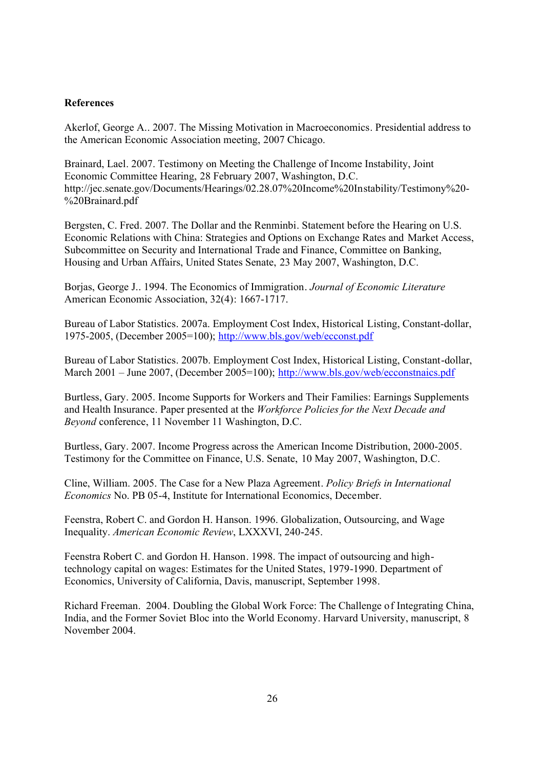# **References**

Akerlof, George A.. 2007. The Missing Motivation in Macroeconomics. Presidential address to the American Economic Association meeting, 2007 Chicago.

Brainard, Lael. 2007. Testimony on Meeting the Challenge of Income Instability, Joint Economic Committee Hearing, 28 February 2007, Washington, D.C. http://jec.senate.gov/Documents/Hearings/02.28.07%20Income%20Instability/Testimony%20- %20Brainard.pdf

Bergsten, C. Fred. 2007. The Dollar and the Renminbi. Statement before the Hearing on U.S. Economic Relations with China: Strategies and Options on Exchange Rates and Market Access, Subcommittee on Security and International Trade and Finance, Committee on Banking, Housing and Urban Affairs, United States Senate, 23 May 2007, Washington, D.C.

Borjas, George J.. 1994. The Economics of Immigration. *Journal of Economic Literature* American Economic Association, 32(4): 1667-1717.

Bureau of Labor Statistics. 2007a. Employment Cost Index, Historical Listing, Constant-dollar, 1975-2005, (December 2005=100); http://www.bls.gov/web/ecconst.pdf

Bureau of Labor Statistics. 2007b. Employment Cost Index, Historical Listing, Constant-dollar, March 2001 – June 2007, (December 2005=100); http://www.bls.gov/web/ecconstnaics.pdf

Burtless, Gary. 2005. Income Supports for Workers and Their Families: Earnings Supplements and Health Insurance. Paper presented at the *Workforce Policies for the Next Decade and Beyond* conference, 11 November 11 Washington, D.C.

Burtless, Gary. 2007. Income Progress across the American Income Distribution, 2000-2005. Testimony for the Committee on Finance, U.S. Senate, 10 May 2007, Washington, D.C.

Cline, William. 2005. The Case for a New Plaza Agreement. *Policy Briefs in International Economics* No. PB 05-4, Institute for International Economics, December.

Feenstra, Robert C. and Gordon H. Hanson. 1996. Globalization, Outsourcing, and Wage Inequality. *American Economic Review*, LXXXVI, 240-245.

Feenstra Robert C. and Gordon H. Hanson. 1998. The impact of outsourcing and hightechnology capital on wages: Estimates for the United States, 1979-1990. Department of Economics, University of California, Davis, manuscript, September 1998.

Richard Freeman. 2004. Doubling the Global Work Force: The Challenge of Integrating China, India, and the Former Soviet Bloc into the World Economy. Harvard University, manuscript, 8 November 2004.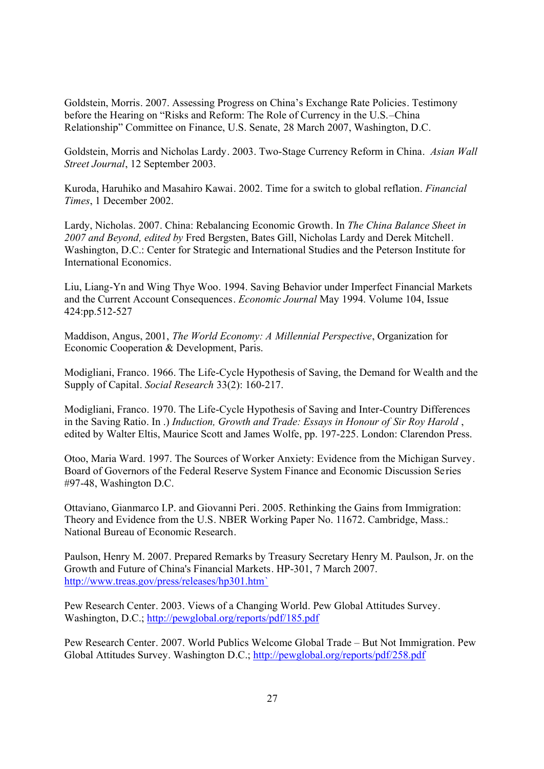Goldstein, Morris. 2007. Assessing Progress on China's Exchange Rate Policies. Testimony before the Hearing on "Risks and Reform: The Role of Currency in the U.S.–China Relationship" Committee on Finance, U.S. Senate, 28 March 2007, Washington, D.C.

Goldstein, Morris and Nicholas Lardy. 2003. Two-Stage Currency Reform in China. *Asian Wall Street Journal*, 12 September 2003.

Kuroda, Haruhiko and Masahiro Kawai. 2002. Time for a switch to global reflation. *Financial Times*, 1 December 2002.

Lardy, Nicholas. 2007. China: Rebalancing Economic Growth. In *The China Balance Sheet in 2007 and Beyond, edited by* Fred Bergsten, Bates Gill, Nicholas Lardy and Derek Mitchell. Washington, D.C.: Center for Strategic and International Studies and the Peterson Institute for International Economics.

Liu, Liang-Yn and Wing Thye Woo. 1994. Saving Behavior under Imperfect Financial Markets and the Current Account Consequences. *Economic Journal* May 1994. Volume 104, Issue 424:pp.512-527

Maddison, Angus, 2001, *The World Economy: A Millennial Perspective*, Organization for Economic Cooperation & Development, Paris.

Modigliani, Franco. 1966. The Life-Cycle Hypothesis of Saving, the Demand for Wealth and the Supply of Capital. *Social Research* 33(2): 160-217.

Modigliani, Franco. 1970. The Life-Cycle Hypothesis of Saving and Inter-Country Differences in the Saving Ratio. In .) *Induction, Growth and Trade: Essays in Honour of Sir Roy Harold* , edited by Walter Eltis, Maurice Scott and James Wolfe, pp. 197-225. London: Clarendon Press.

Otoo, Maria Ward. 1997. The Sources of Worker Anxiety: Evidence from the Michigan Survey. Board of Governors of the Federal Reserve System Finance and Economic Discussion Series #97-48, Washington D.C.

Ottaviano, Gianmarco I.P. and Giovanni Peri. 2005. Rethinking the Gains from Immigration: Theory and Evidence from the U.S. NBER Working Paper No. 11672. Cambridge, Mass.: National Bureau of Economic Research.

Paulson, Henry M. 2007. Prepared Remarks by Treasury Secretary Henry M. Paulson, Jr. on the Growth and Future of China's Financial Markets. HP-301, 7 March 2007. http://www.treas.gov/press/releases/hp301.htm`

Pew Research Center. 2003. Views of a Changing World. Pew Global Attitudes Survey. Washington, D.C.; http://pewglobal.org/reports/pdf/185.pdf

Pew Research Center. 2007. World Publics Welcome Global Trade – But Not Immigration. Pew Global Attitudes Survey. Washington D.C.; http://pewglobal.org/reports/pdf/258.pdf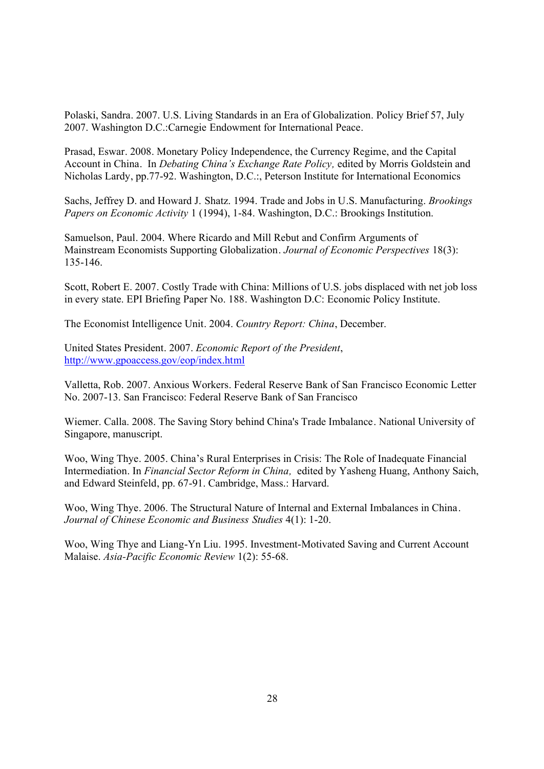Polaski, Sandra. 2007. U.S. Living Standards in an Era of Globalization. Policy Brief 57, July 2007. Washington D.C.:Carnegie Endowment for International Peace.

Prasad, Eswar. 2008. Monetary Policy Independence, the Currency Regime, and the Capital Account in China. In *Debating China's Exchange Rate Policy,* edited by Morris Goldstein and Nicholas Lardy, pp.77-92. Washington, D.C.:, Peterson Institute for International Economics

Sachs, Jeffrey D. and Howard J. Shatz. 1994. Trade and Jobs in U.S. Manufacturing. *Brookings Papers on Economic Activity* 1 (1994), 1-84. Washington, D.C.: Brookings Institution.

Samuelson, Paul. 2004. Where Ricardo and Mill Rebut and Confirm Arguments of Mainstream Economists Supporting Globalization. *Journal of Economic Perspectives* 18(3): 135-146.

Scott, Robert E. 2007. Costly Trade with China: Millions of U.S. jobs displaced with net job loss in every state. EPI Briefing Paper No. 188. Washington D.C: Economic Policy Institute.

The Economist Intelligence Unit. 2004. *Country Report: China*, December.

United States President. 2007. *Economic Report of the President*, http://www.gpoaccess.gov/eop/index.html

Valletta, Rob. 2007. Anxious Workers. Federal Reserve Bank of San Francisco Economic Letter No. 2007-13. San Francisco: Federal Reserve Bank of San Francisco

Wiemer. Calla. 2008. The Saving Story behind China's Trade Imbalance. National University of Singapore, manuscript.

Woo, Wing Thye. 2005. China's Rural Enterprises in Crisis: The Role of Inadequate Financial Intermediation. In *Financial Sector Reform in China,* edited by Yasheng Huang, Anthony Saich, and Edward Steinfeld, pp. 67-91. Cambridge, Mass.: Harvard.

Woo, Wing Thye. 2006. The Structural Nature of Internal and External Imbalances in China. *Journal of Chinese Economic and Business Studies* 4(1): 1-20.

Woo, Wing Thye and Liang-Yn Liu. 1995. Investment-Motivated Saving and Current Account Malaise. *Asia-Pacific Economic Review* 1(2): 55-68.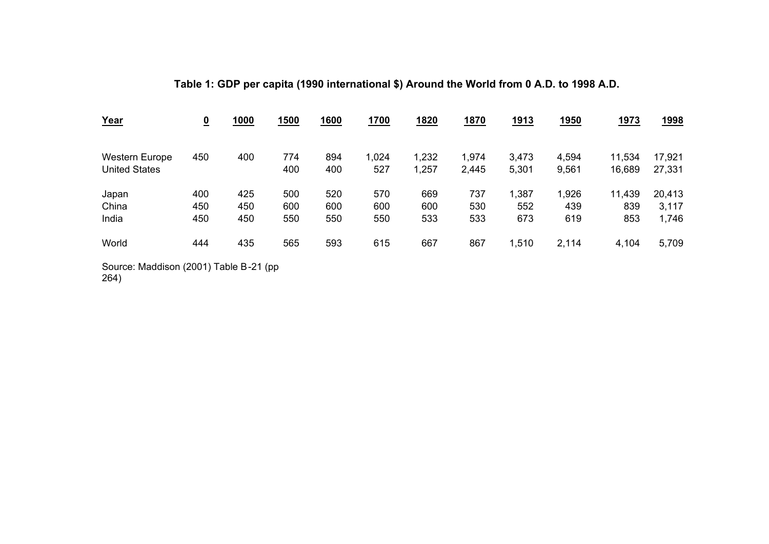| Year                  | <u>0</u> | 1000 | <u>1500</u> | <u>1600</u> | 1700  | 1820  | <b>1870</b> | <u>1913</u> | 1950  | 1973   | <u>1998</u> |
|-----------------------|----------|------|-------------|-------------|-------|-------|-------------|-------------|-------|--------|-------------|
| <b>Western Europe</b> | 450      | 400  | 774         | 894         | 1,024 | 1,232 | 974         | 3,473       | 4,594 | 11,534 | 17,921      |
| <b>United States</b>  |          |      | 400         | 400         | 527   | 1,257 | 2,445       | 5,301       | 9,561 | 16,689 | 27,331      |
| Japan                 | 400      | 425  | 500         | 520         | 570   | 669   | 737         | 1,387       | 1,926 | 11,439 | 20,413      |
| China                 | 450      | 450  | 600         | 600         | 600   | 600   | 530         | 552         | 439   | 839    | 3,117       |
| India                 | 450      | 450  | 550         | 550         | 550   | 533   | 533         | 673         | 619   | 853    | 1,746       |
| World                 | 444      | 435  | 565         | 593         | 615   | 667   | 867         | 1,510       | 2,114 | 4,104  | 5,709       |

**Table 1: GDP per capita (1990 international \$) Around the World from 0 A.D. to 1998 A.D.**

Source: Maddison (2001) Table B-21 (pp 264)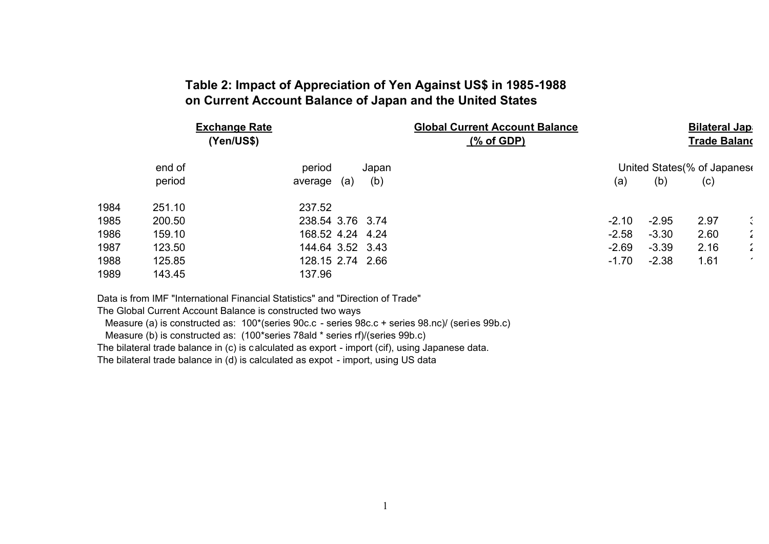# **Table 2: Impact of Appreciation of Yen Against US\$ in 1985-1988 on Current Account Balance of Japan and the United States**

|      |        | <b>Exchange Rate</b><br>(Yen/US\$) | <b>Global Current Account Balance</b><br>% of GDP) |         |         | <b>Bilateral Japa</b><br><b>Trade Balanc</b> |   |
|------|--------|------------------------------------|----------------------------------------------------|---------|---------|----------------------------------------------|---|
|      | end of | period<br>Japan                    |                                                    |         |         | United States (% of Japanes                  |   |
|      | period | (b)<br>(a)<br>average              |                                                    | (a)     | (b)     | (c)                                          |   |
| 1984 | 251.10 | 237.52                             |                                                    |         |         |                                              |   |
| 1985 | 200.50 | 238.54 3.76 3.74                   |                                                    | $-2.10$ | $-2.95$ | 2.97                                         | 1 |
| 1986 | 159.10 | 168.52 4.24 4.24                   |                                                    | $-2.58$ | $-3.30$ | 2.60                                         |   |
| 1987 | 123.50 | 144.64 3.52 3.43                   |                                                    | $-2.69$ | $-3.39$ | 2.16                                         |   |
| 1988 | 125.85 | 128.15 2.74 2.66                   |                                                    | $-1.70$ | $-2.38$ | 1.61                                         |   |
| 1989 | 143.45 | 137.96                             |                                                    |         |         |                                              |   |

Data is from IMF "International Financial Statistics" and "Direction of Trade"

The Global Current Account Balance is constructed two ways

Measure (a) is constructed as: 100\*(series 90c.c - series 98c.c + series 98.nc)/ (series 99b.c)

Measure (b) is constructed as: (100\*series 78ald \* series rf)/(series 99b.c)

The bilateral trade balance in (c) is calculated as export - import (cif), using Japanese data.

The bilateral trade balance in (d) is calculated as expot - import, using US data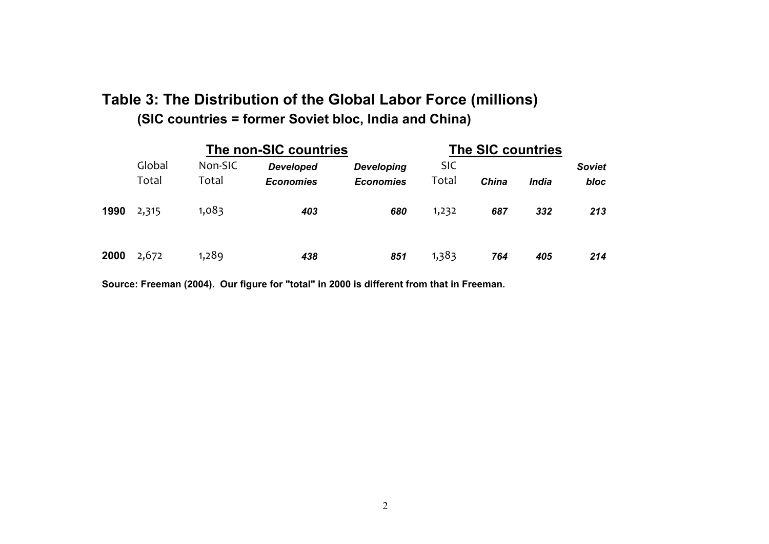# **Table 3: The Distribution of the Global Labor Force (millions) (SIC countries = former Soviet bloc, India and China)**

|      | The non-SIC countries |                  |                                      |                                       | The SIC countries   |              |                     |                       |  |
|------|-----------------------|------------------|--------------------------------------|---------------------------------------|---------------------|--------------|---------------------|-----------------------|--|
|      | Global<br>Total       | Non-SIC<br>Total | <b>Developed</b><br><b>Economies</b> | <b>Developing</b><br><b>Economies</b> | <b>SIC</b><br>Total | <b>China</b> | <i><b>India</b></i> | <b>Soviet</b><br>bloc |  |
| 1990 | 2,315                 | 1,083            | 403                                  | 680                                   | 1,232               | 687          | 332                 | 213                   |  |
| 2000 | 2,672                 | 1,289            | 438                                  | 851                                   | 1,383               | 764          | 405                 | 214                   |  |

**Source: Freeman (2004). Our figure for "total" in 2000 is different from that in Freeman.**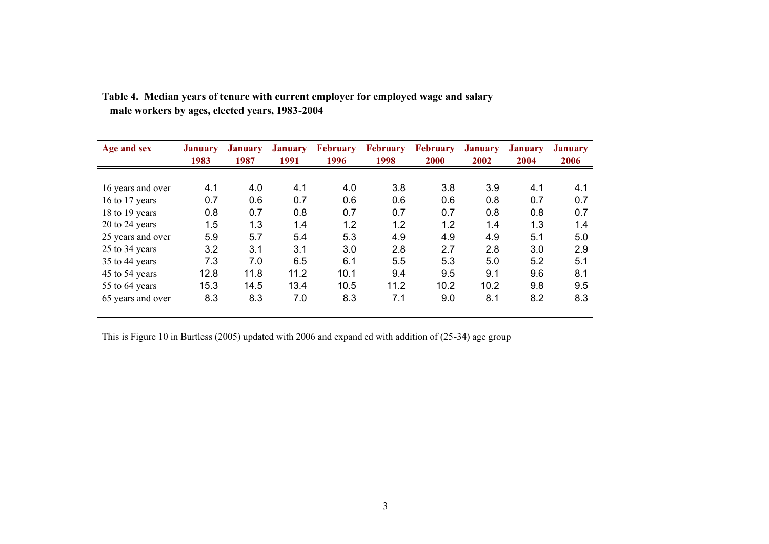| Age and sex       | <b>January</b><br>1983 | <b>January</b><br>1987 | <b>January</b><br>1991 | <b>February</b><br>1996 | <b>February</b><br>1998 | <b>February</b><br>2000 | <b>January</b><br>2002 | <b>January</b><br>2004 | <b>January</b><br>2006 |
|-------------------|------------------------|------------------------|------------------------|-------------------------|-------------------------|-------------------------|------------------------|------------------------|------------------------|
|                   |                        |                        |                        |                         |                         |                         |                        |                        |                        |
| 16 years and over | 4.1                    | 4.0                    | 4.1                    | 4.0                     | 3.8                     | 3.8                     | 3.9                    | 4.1                    | 4.1                    |
| 16 to 17 years    | 0.7                    | 0.6                    | 0.7                    | 0.6                     | 0.6                     | 0.6                     | 0.8                    | 0.7                    | 0.7                    |
| 18 to 19 years    | 0.8                    | 0.7                    | 0.8                    | 0.7                     | 0.7                     | 0.7                     | 0.8                    | 0.8                    | 0.7                    |
| 20 to 24 years    | 1.5                    | 1.3                    | 1.4                    | 1.2                     | 1.2                     | 1.2                     | 1.4                    | 1.3                    | 1.4                    |
| 25 years and over | 5.9                    | 5.7                    | 5.4                    | 5.3                     | 4.9                     | 4.9                     | 4.9                    | 5.1                    | 5.0                    |
| 25 to 34 years    | 3.2                    | 3.1                    | 3.1                    | 3.0                     | 2.8                     | 2.7                     | 2.8                    | 3.0                    | 2.9                    |
| 35 to 44 years    | 7.3                    | 7.0                    | 6.5                    | 6.1                     | 5.5                     | 5.3                     | 5.0                    | 5.2                    | 5.1                    |
| 45 to 54 years    | 12.8                   | 11.8                   | 11.2                   | 10.1                    | 9.4                     | 9.5                     | 9.1                    | 9.6                    | 8.1                    |
| 55 to 64 years    | 15.3                   | 14.5                   | 13.4                   | 10.5                    | 11.2                    | 10.2                    | 10.2                   | 9.8                    | 9.5                    |
| 65 years and over | 8.3                    | 8.3                    | 7.0                    | 8.3                     | 7.1                     | 9.0                     | 8.1                    | 8.2                    | 8.3                    |

**Table 4. Median years of tenure with current employer for employed wage and salary male workers by ages, elected years, 1983-2004**

This is Figure 10 in Burtless (2005) updated with 2006 and expand ed with addition of (25-34) age group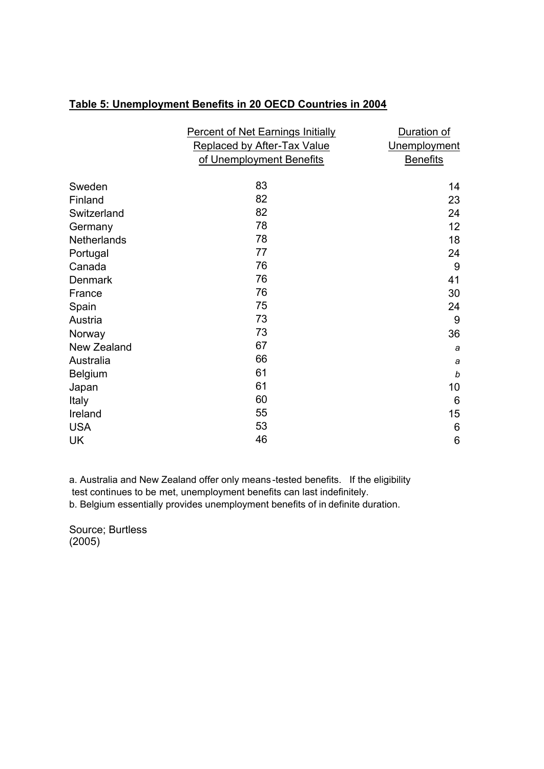| Table 5: Unemployment Benefits in 20 OECD Countries in 2004 |
|-------------------------------------------------------------|
|-------------------------------------------------------------|

|                    | <b>Percent of Net Earnings Initially</b> | Duration of     |
|--------------------|------------------------------------------|-----------------|
|                    | Replaced by After-Tax Value              | Unemployment    |
|                    | of Unemployment Benefits                 | <b>Benefits</b> |
| Sweden             | 83                                       | 14              |
|                    | 82                                       |                 |
| Finland            |                                          | 23              |
| Switzerland        | 82                                       | 24              |
| Germany            | 78                                       | 12              |
| <b>Netherlands</b> | 78                                       | 18              |
| Portugal           | 77                                       | 24              |
| Canada             | 76                                       | 9               |
| Denmark            | 76                                       | 41              |
| France             | 76                                       | 30              |
| Spain              | 75                                       | 24              |
| Austria            | 73                                       | 9               |
| Norway             | 73                                       | 36              |
| New Zealand        | 67                                       | a               |
| Australia          | 66                                       | a               |
| <b>Belgium</b>     | 61                                       | b               |
| Japan              | 61                                       | 10              |
| Italy              | 60                                       | 6               |
| Ireland            | 55                                       | 15              |
| <b>USA</b>         | 53                                       | 6               |
| <b>UK</b>          | 46                                       | 6               |

a. Australia and New Zealand offer only means -tested benefits. If the eligibility test continues to be met, unemployment benefits can last indefinitely.

b. Belgium essentially provides unemployment benefits of in definite duration.

Source; Burtless (2005)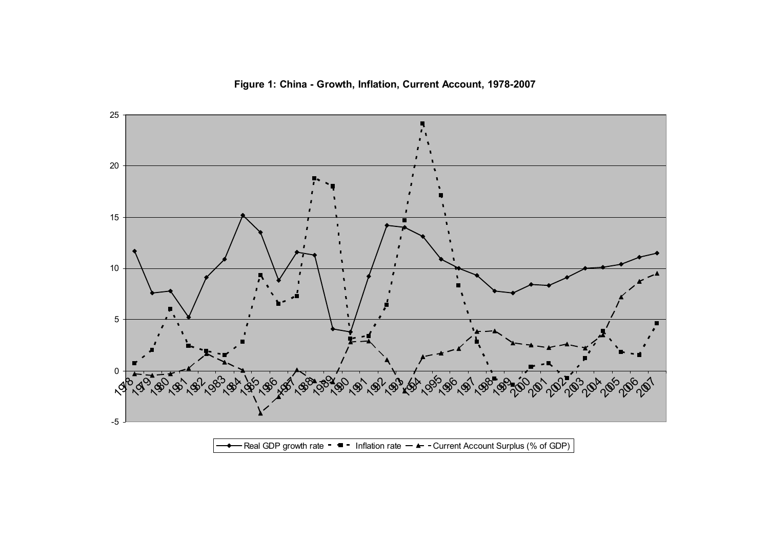

**Figure 1: China - Growth, Inflation, Current Account, 1978-2007**

 $-$  Real GDP growth rate  $\bullet$  - Inflation rate  $\bullet$  - Current Account Surplus (% of GDP)  $\vert$